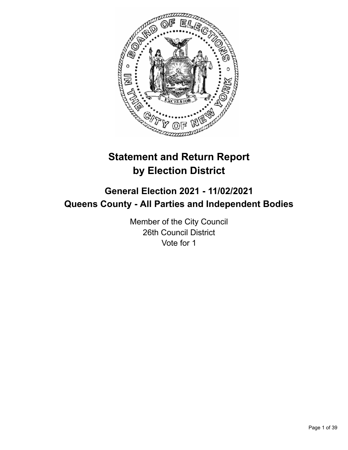

# **Statement and Return Report by Election District**

# **General Election 2021 - 11/02/2021 Queens County - All Parties and Independent Bodies**

Member of the City Council 26th Council District Vote for 1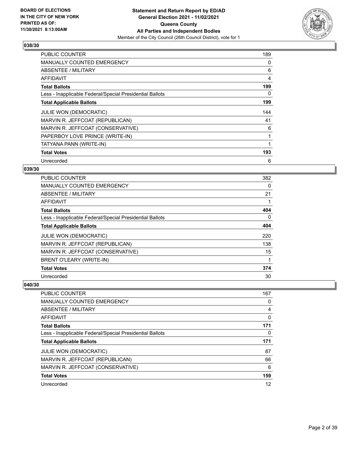

| PUBLIC COUNTER                                           | 189 |
|----------------------------------------------------------|-----|
| <b>MANUALLY COUNTED EMERGENCY</b>                        | 0   |
| ABSENTEE / MILITARY                                      | 6   |
| AFFIDAVIT                                                | 4   |
| <b>Total Ballots</b>                                     | 199 |
| Less - Inapplicable Federal/Special Presidential Ballots | 0   |
| <b>Total Applicable Ballots</b>                          | 199 |
| <b>JULIE WON (DEMOCRATIC)</b>                            | 144 |
| MARVIN R. JEFFCOAT (REPUBLICAN)                          | 41  |
|                                                          |     |
| MARVIN R. JEFFCOAT (CONSERVATIVE)                        | 6   |
| PAPERBOY LOVE PRINCE (WRITE-IN)                          | 1   |
| TATYANA PANN (WRITE-IN)                                  |     |
| <b>Total Votes</b>                                       | 193 |

## **039/30**

| PUBLIC COUNTER                                           | 382 |
|----------------------------------------------------------|-----|
| <b>MANUALLY COUNTED EMERGENCY</b>                        | 0   |
| <b>ABSENTEE / MILITARY</b>                               | 21  |
| <b>AFFIDAVIT</b>                                         |     |
| <b>Total Ballots</b>                                     | 404 |
| Less - Inapplicable Federal/Special Presidential Ballots | 0   |
| <b>Total Applicable Ballots</b>                          | 404 |
| <b>JULIE WON (DEMOCRATIC)</b>                            | 220 |
| MARVIN R. JEFFCOAT (REPUBLICAN)                          | 138 |
| MARVIN R. JEFFCOAT (CONSERVATIVE)                        | 15  |
| <b>BRENT O'LEARY (WRITE-IN)</b>                          | 1   |
| <b>Total Votes</b>                                       | 374 |
| Unrecorded                                               | 30  |

| <b>PUBLIC COUNTER</b>                                    | 167      |
|----------------------------------------------------------|----------|
| MANUALLY COUNTED EMERGENCY                               | 0        |
| ABSENTEE / MILITARY                                      | 4        |
| AFFIDAVIT                                                | $\Omega$ |
| <b>Total Ballots</b>                                     | 171      |
| Less - Inapplicable Federal/Special Presidential Ballots | $\Omega$ |
| <b>Total Applicable Ballots</b>                          | 171      |
| <b>JULIE WON (DEMOCRATIC)</b>                            | 87       |
| MARVIN R. JEFFCOAT (REPUBLICAN)                          | 66       |
| MARVIN R. JEFFCOAT (CONSERVATIVE)                        | 6        |
| <b>Total Votes</b>                                       | 159      |
| Unrecorded                                               | 12       |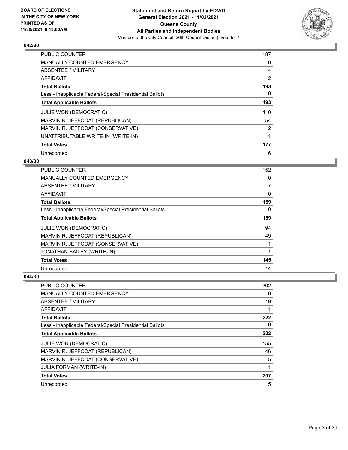

| <b>PUBLIC COUNTER</b>                                    | 187            |
|----------------------------------------------------------|----------------|
| <b>MANUALLY COUNTED EMERGENCY</b>                        | 0              |
| ABSENTEE / MILITARY                                      | 4              |
| <b>AFFIDAVIT</b>                                         | $\overline{2}$ |
| <b>Total Ballots</b>                                     | 193            |
| Less - Inapplicable Federal/Special Presidential Ballots | 0              |
| <b>Total Applicable Ballots</b>                          | 193            |
| <b>JULIE WON (DEMOCRATIC)</b>                            | 110            |
| MARVIN R. JEFFCOAT (REPUBLICAN)                          | 54             |
| MARVIN R. JEFFCOAT (CONSERVATIVE)                        | 12             |
| UNATTRIBUTABLE WRITE-IN (WRITE-IN)                       |                |
| <b>Total Votes</b>                                       | 177            |
| Unrecorded                                               | 16             |

## **043/30**

| <b>PUBLIC COUNTER</b>                                    | 152            |
|----------------------------------------------------------|----------------|
| MANUALLY COUNTED EMERGENCY                               | 0              |
| ABSENTEE / MILITARY                                      | $\overline{7}$ |
| AFFIDAVIT                                                | 0              |
| <b>Total Ballots</b>                                     | 159            |
| Less - Inapplicable Federal/Special Presidential Ballots | $\Omega$       |
| <b>Total Applicable Ballots</b>                          | 159            |
| JULIE WON (DEMOCRATIC)                                   | 94             |
| MARVIN R. JEFFCOAT (REPUBLICAN)                          | 49             |
| MARVIN R. JEFFCOAT (CONSERVATIVE)                        |                |
| JONATHAN BAILEY (WRITE-IN)                               |                |
| <b>Total Votes</b>                                       | 145            |
| Unrecorded                                               | 14             |

| PUBLIC COUNTER                                           | 202 |
|----------------------------------------------------------|-----|
| <b>MANUALLY COUNTED EMERGENCY</b>                        | 0   |
| ABSENTEE / MILITARY                                      | 19  |
| AFFIDAVIT                                                | 1   |
| <b>Total Ballots</b>                                     | 222 |
| Less - Inapplicable Federal/Special Presidential Ballots | 0   |
| <b>Total Applicable Ballots</b>                          | 222 |
| <b>JULIE WON (DEMOCRATIC)</b>                            | 155 |
| MARVIN R. JEFFCOAT (REPUBLICAN)                          | 46  |
| MARVIN R. JEFFCOAT (CONSERVATIVE)                        | 5   |
| <b>JULIA FORMAN (WRITE-IN)</b>                           | 1   |
| <b>Total Votes</b>                                       | 207 |
| Unrecorded                                               | 15  |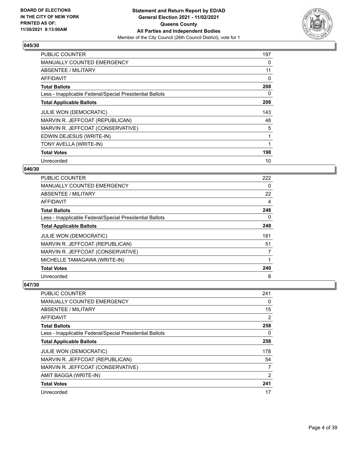

| PUBLIC COUNTER                                           | 197 |
|----------------------------------------------------------|-----|
| <b>MANUALLY COUNTED EMERGENCY</b>                        | 0   |
| ABSENTEE / MILITARY                                      | 11  |
| AFFIDAVIT                                                | 0   |
| <b>Total Ballots</b>                                     | 208 |
| Less - Inapplicable Federal/Special Presidential Ballots | 0   |
| <b>Total Applicable Ballots</b>                          | 208 |
| <b>JULIE WON (DEMOCRATIC)</b>                            | 143 |
| MARVIN R. JEFFCOAT (REPUBLICAN)                          | 48  |
| MARVIN R. JEFFCOAT (CONSERVATIVE)                        | 5   |
| EDWIN DEJESUS (WRITE-IN)                                 | 1   |
| TONY AVELLA (WRITE-IN)                                   |     |
| <b>Total Votes</b>                                       | 198 |
| Unrecorded                                               | 10  |

## **046/30**

| <b>PUBLIC COUNTER</b>                                    | 222      |
|----------------------------------------------------------|----------|
| <b>MANUALLY COUNTED EMERGENCY</b>                        | $\Omega$ |
| ABSENTEE / MILITARY                                      | 22       |
| AFFIDAVIT                                                | 4        |
| <b>Total Ballots</b>                                     | 248      |
| Less - Inapplicable Federal/Special Presidential Ballots | 0        |
| <b>Total Applicable Ballots</b>                          | 248      |
| <b>JULIE WON (DEMOCRATIC)</b>                            | 181      |
| MARVIN R. JEFFCOAT (REPUBLICAN)                          | 51       |
| MARVIN R. JEFFCOAT (CONSERVATIVE)                        | 7        |
| MICHELLE TAMAGAWA (WRITE-IN)                             |          |
| <b>Total Votes</b>                                       | 240      |
| Unrecorded                                               | 8        |

| <b>PUBLIC COUNTER</b>                                    | 241      |
|----------------------------------------------------------|----------|
| <b>MANUALLY COUNTED EMERGENCY</b>                        | 0        |
| ABSENTEE / MILITARY                                      | 15       |
| AFFIDAVIT                                                | 2        |
| <b>Total Ballots</b>                                     | 258      |
| Less - Inapplicable Federal/Special Presidential Ballots | $\Omega$ |
| <b>Total Applicable Ballots</b>                          | 258      |
| <b>JULIE WON (DEMOCRATIC)</b>                            | 178      |
| MARVIN R. JEFFCOAT (REPUBLICAN)                          | 54       |
| MARVIN R. JEFFCOAT (CONSERVATIVE)                        | 7        |
| AMIT BAGGA (WRITE-IN)                                    | 2        |
| <b>Total Votes</b>                                       | 241      |
| Unrecorded                                               | 17       |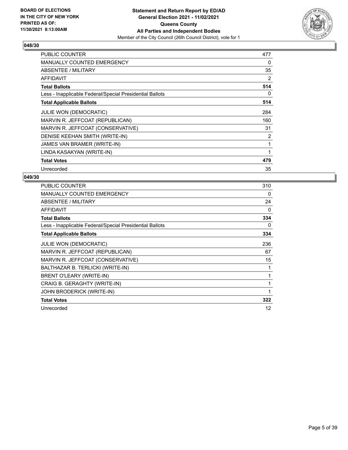

| <b>PUBLIC COUNTER</b>                                    | 477 |
|----------------------------------------------------------|-----|
| <b>MANUALLY COUNTED EMERGENCY</b>                        | 0   |
| ABSENTEE / MILITARY                                      | 35  |
| AFFIDAVIT                                                | 2   |
| <b>Total Ballots</b>                                     | 514 |
| Less - Inapplicable Federal/Special Presidential Ballots | 0   |
| <b>Total Applicable Ballots</b>                          | 514 |
| <b>JULIE WON (DEMOCRATIC)</b>                            | 284 |
| MARVIN R. JEFFCOAT (REPUBLICAN)                          | 160 |
| MARVIN R. JEFFCOAT (CONSERVATIVE)                        | 31  |
| DENISE KEEHAN SMITH (WRITE-IN)                           | 2   |
| JAMES VAN BRAMER (WRITE-IN)                              | 1   |
| LINDA KASAKYAN (WRITE-IN)                                | 1   |
| <b>Total Votes</b>                                       | 479 |
| Unrecorded                                               | 35  |

| PUBLIC COUNTER                                           | 310 |
|----------------------------------------------------------|-----|
| <b>MANUALLY COUNTED EMERGENCY</b>                        | 0   |
| ABSENTEE / MILITARY                                      | 24  |
| AFFIDAVIT                                                | 0   |
| <b>Total Ballots</b>                                     | 334 |
| Less - Inapplicable Federal/Special Presidential Ballots | 0   |
| <b>Total Applicable Ballots</b>                          | 334 |
| <b>JULIE WON (DEMOCRATIC)</b>                            | 236 |
| MARVIN R. JEFFCOAT (REPUBLICAN)                          | 67  |
| MARVIN R. JEFFCOAT (CONSERVATIVE)                        | 15  |
| BALTHAZAR B. TERLICKI (WRITE-IN)                         | 1   |
| BRENT O'LEARY (WRITE-IN)                                 | 1   |
| CRAIG B. GERAGHTY (WRITE-IN)                             | 1   |
| JOHN BRODERICK (WRITE-IN)                                | 1   |
| <b>Total Votes</b>                                       | 322 |
| Unrecorded                                               | 12  |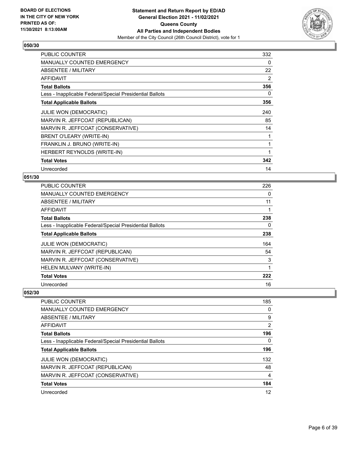

| PUBLIC COUNTER                                           | 332 |
|----------------------------------------------------------|-----|
| <b>MANUALLY COUNTED EMERGENCY</b>                        | 0   |
| ABSENTEE / MILITARY                                      | 22  |
| <b>AFFIDAVIT</b>                                         | 2   |
| <b>Total Ballots</b>                                     | 356 |
| Less - Inapplicable Federal/Special Presidential Ballots | 0   |
| <b>Total Applicable Ballots</b>                          | 356 |
| JULIE WON (DEMOCRATIC)                                   | 240 |
| MARVIN R. JEFFCOAT (REPUBLICAN)                          | 85  |
| MARVIN R. JEFFCOAT (CONSERVATIVE)                        | 14  |
| BRENT O'LEARY (WRITE-IN)                                 |     |
| FRANKLIN J. BRUNO (WRITE-IN)                             | 1   |
| HERBERT REYNOLDS (WRITE-IN)                              |     |
| <b>Total Votes</b>                                       | 342 |
| Unrecorded                                               | 14  |

## **051/30**

| PUBLIC COUNTER                                           | 226 |
|----------------------------------------------------------|-----|
| MANUALLY COUNTED EMERGENCY                               | 0   |
| ABSENTEE / MILITARY                                      | 11  |
| AFFIDAVIT                                                |     |
| <b>Total Ballots</b>                                     | 238 |
| Less - Inapplicable Federal/Special Presidential Ballots | 0   |
| <b>Total Applicable Ballots</b>                          | 238 |
| <b>JULIE WON (DEMOCRATIC)</b>                            | 164 |
| MARVIN R. JEFFCOAT (REPUBLICAN)                          | 54  |
| MARVIN R. JEFFCOAT (CONSERVATIVE)                        | 3   |
| HELEN MULVANY (WRITE-IN)                                 | 1   |
| <b>Total Votes</b>                                       | 222 |
| Unrecorded                                               | 16  |

| <b>PUBLIC COUNTER</b>                                    | 185 |
|----------------------------------------------------------|-----|
| MANUALLY COUNTED EMERGENCY                               | 0   |
| ABSENTEE / MILITARY                                      | 9   |
| AFFIDAVIT                                                | 2   |
| <b>Total Ballots</b>                                     | 196 |
| Less - Inapplicable Federal/Special Presidential Ballots | 0   |
| <b>Total Applicable Ballots</b>                          | 196 |
| <b>JULIE WON (DEMOCRATIC)</b>                            | 132 |
| MARVIN R. JEFFCOAT (REPUBLICAN)                          | 48  |
| MARVIN R. JEFFCOAT (CONSERVATIVE)                        | 4   |
| <b>Total Votes</b>                                       | 184 |
| Unrecorded                                               | 12  |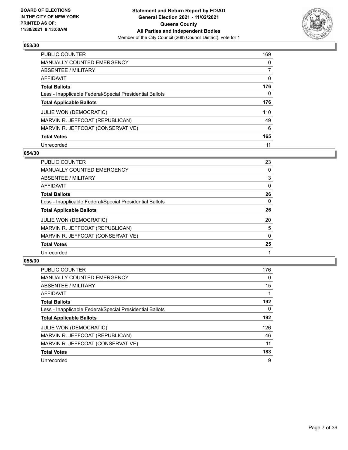

| <b>PUBLIC COUNTER</b>                                    | 169      |
|----------------------------------------------------------|----------|
| MANUALLY COUNTED EMERGENCY                               | $\Omega$ |
| ABSENTEE / MILITARY                                      |          |
| AFFIDAVIT                                                | 0        |
| <b>Total Ballots</b>                                     | 176      |
| Less - Inapplicable Federal/Special Presidential Ballots | 0        |
| <b>Total Applicable Ballots</b>                          | 176      |
| <b>JULIE WON (DEMOCRATIC)</b>                            | 110      |
| MARVIN R. JEFFCOAT (REPUBLICAN)                          | 49       |
| MARVIN R. JEFFCOAT (CONSERVATIVE)                        | 6        |
| <b>Total Votes</b>                                       | 165      |
| Unrecorded                                               | 11       |

#### **054/30**

| <b>PUBLIC COUNTER</b>                                    | 23       |
|----------------------------------------------------------|----------|
| <b>MANUALLY COUNTED EMERGENCY</b>                        | $\Omega$ |
| ABSENTEE / MILITARY                                      | 3        |
| <b>AFFIDAVIT</b>                                         | $\Omega$ |
| <b>Total Ballots</b>                                     | 26       |
| Less - Inapplicable Federal/Special Presidential Ballots | $\Omega$ |
| <b>Total Applicable Ballots</b>                          | 26       |
| <b>JULIE WON (DEMOCRATIC)</b>                            | 20       |
| MARVIN R. JEFFCOAT (REPUBLICAN)                          | 5        |
| MARVIN R. JEFFCOAT (CONSERVATIVE)                        | $\Omega$ |
| <b>Total Votes</b>                                       | 25       |
| Unrecorded                                               |          |

| <b>PUBLIC COUNTER</b>                                    | 176      |
|----------------------------------------------------------|----------|
| <b>MANUALLY COUNTED EMERGENCY</b>                        | $\Omega$ |
| ABSENTEE / MILITARY                                      | 15       |
| AFFIDAVIT                                                |          |
| <b>Total Ballots</b>                                     | 192      |
| Less - Inapplicable Federal/Special Presidential Ballots | 0        |
| <b>Total Applicable Ballots</b>                          | 192      |
| <b>JULIE WON (DEMOCRATIC)</b>                            | 126      |
| MARVIN R. JEFFCOAT (REPUBLICAN)                          | 46       |
| MARVIN R. JEFFCOAT (CONSERVATIVE)                        | 11       |
| <b>Total Votes</b>                                       | 183      |
| Unrecorded                                               | 9        |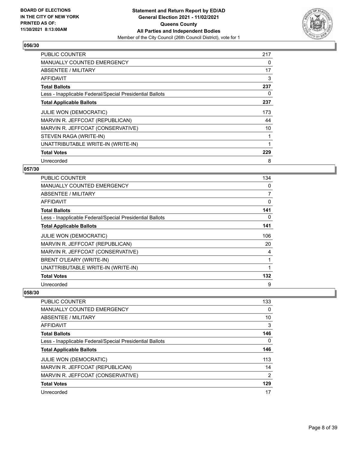

| <b>PUBLIC COUNTER</b>                                    | 217 |
|----------------------------------------------------------|-----|
| <b>MANUALLY COUNTED EMERGENCY</b>                        | 0   |
| <b>ABSENTEE / MILITARY</b>                               | 17  |
| AFFIDAVIT                                                | 3   |
| <b>Total Ballots</b>                                     | 237 |
| Less - Inapplicable Federal/Special Presidential Ballots | 0   |
| <b>Total Applicable Ballots</b>                          | 237 |
| JULIE WON (DEMOCRATIC)                                   | 173 |
| MARVIN R. JEFFCOAT (REPUBLICAN)                          | 44  |
| MARVIN R. JEFFCOAT (CONSERVATIVE)                        | 10  |
| STEVEN RAGA (WRITE-IN)                                   | 1   |
| UNATTRIBUTABLE WRITE-IN (WRITE-IN)                       |     |
| <b>Total Votes</b>                                       | 229 |
|                                                          |     |

## **057/30**

| <b>PUBLIC COUNTER</b>                                    | 134 |
|----------------------------------------------------------|-----|
| <b>MANUALLY COUNTED EMERGENCY</b>                        | 0   |
| ABSENTEE / MILITARY                                      | 7   |
| AFFIDAVIT                                                | 0   |
| <b>Total Ballots</b>                                     | 141 |
| Less - Inapplicable Federal/Special Presidential Ballots | 0   |
| <b>Total Applicable Ballots</b>                          | 141 |
| <b>JULIE WON (DEMOCRATIC)</b>                            | 106 |
| MARVIN R. JEFFCOAT (REPUBLICAN)                          | 20  |
| MARVIN R. JEFFCOAT (CONSERVATIVE)                        | 4   |
| BRENT O'LEARY (WRITE-IN)                                 | 1   |
| UNATTRIBUTABLE WRITE-IN (WRITE-IN)                       |     |
| <b>Total Votes</b>                                       | 132 |
| Unrecorded                                               | 9   |

| 133 |
|-----|
| 0   |
| 10  |
| 3   |
| 146 |
| 0   |
| 146 |
| 113 |
| 14  |
| 2   |
| 129 |
| 17  |
|     |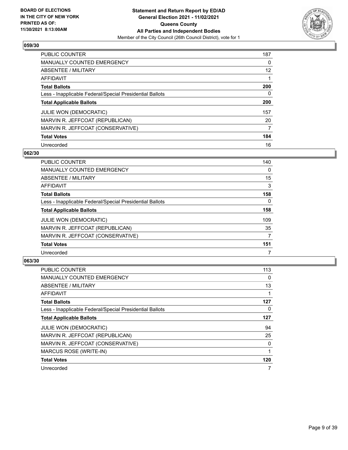

| <b>PUBLIC COUNTER</b>                                    | 187      |
|----------------------------------------------------------|----------|
| <b>MANUALLY COUNTED EMERGENCY</b>                        | $\Omega$ |
| ABSENTEE / MILITARY                                      | 12       |
| AFFIDAVIT                                                |          |
| <b>Total Ballots</b>                                     | 200      |
| Less - Inapplicable Federal/Special Presidential Ballots | 0        |
| <b>Total Applicable Ballots</b>                          | 200      |
| <b>JULIE WON (DEMOCRATIC)</b>                            | 157      |
| MARVIN R. JEFFCOAT (REPUBLICAN)                          | 20       |
| MARVIN R. JEFFCOAT (CONSERVATIVE)                        | 7        |
| <b>Total Votes</b>                                       | 184      |
| Unrecorded                                               | 16       |

#### **062/30**

| <b>PUBLIC COUNTER</b>                                    | 140      |
|----------------------------------------------------------|----------|
| <b>MANUALLY COUNTED EMERGENCY</b>                        | 0        |
| ABSENTEE / MILITARY                                      | 15       |
| <b>AFFIDAVIT</b>                                         | 3        |
| <b>Total Ballots</b>                                     | 158      |
| Less - Inapplicable Federal/Special Presidential Ballots | $\Omega$ |
| <b>Total Applicable Ballots</b>                          | 158      |
| <b>JULIE WON (DEMOCRATIC)</b>                            | 109      |
| MARVIN R. JEFFCOAT (REPUBLICAN)                          | 35       |
| MARVIN R. JEFFCOAT (CONSERVATIVE)                        | 7        |
| <b>Total Votes</b>                                       | 151      |
| Unrecorded                                               |          |

| <b>PUBLIC COUNTER</b>                                    | 113      |
|----------------------------------------------------------|----------|
| <b>MANUALLY COUNTED EMERGENCY</b>                        | 0        |
| ABSENTEE / MILITARY                                      | 13       |
| <b>AFFIDAVIT</b>                                         |          |
| <b>Total Ballots</b>                                     | 127      |
| Less - Inapplicable Federal/Special Presidential Ballots | $\Omega$ |
| <b>Total Applicable Ballots</b>                          | 127      |
| <b>JULIE WON (DEMOCRATIC)</b>                            | 94       |
| MARVIN R. JEFFCOAT (REPUBLICAN)                          | 25       |
| MARVIN R. JEFFCOAT (CONSERVATIVE)                        | 0        |
| MARCUS ROSE (WRITE-IN)                                   |          |
| <b>Total Votes</b>                                       | 120      |
| Unrecorded                                               | 7        |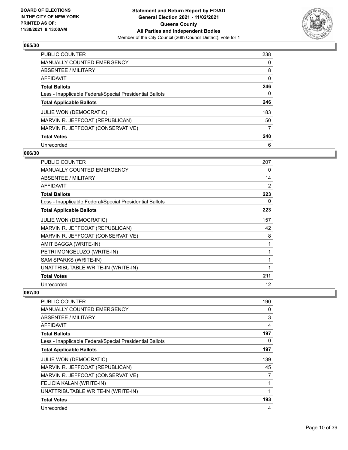

| <b>PUBLIC COUNTER</b>                                    | 238      |
|----------------------------------------------------------|----------|
| MANUALLY COUNTED EMERGENCY                               | $\Omega$ |
| ABSENTEE / MILITARY                                      | 8        |
| AFFIDAVIT                                                | 0        |
| <b>Total Ballots</b>                                     | 246      |
| Less - Inapplicable Federal/Special Presidential Ballots | 0        |
| <b>Total Applicable Ballots</b>                          | 246      |
| JULIE WON (DEMOCRATIC)                                   | 183      |
| MARVIN R. JEFFCOAT (REPUBLICAN)                          | 50       |
| MARVIN R. JEFFCOAT (CONSERVATIVE)                        | 7        |
| <b>Total Votes</b>                                       | 240      |
| Unrecorded                                               | 6        |

#### **066/30**

| <b>PUBLIC COUNTER</b>                                    | 207            |
|----------------------------------------------------------|----------------|
| <b>MANUALLY COUNTED EMERGENCY</b>                        | 0              |
| ABSENTEE / MILITARY                                      | 14             |
| <b>AFFIDAVIT</b>                                         | $\overline{2}$ |
| <b>Total Ballots</b>                                     | 223            |
| Less - Inapplicable Federal/Special Presidential Ballots | 0              |
| <b>Total Applicable Ballots</b>                          | 223            |
| <b>JULIE WON (DEMOCRATIC)</b>                            | 157            |
| MARVIN R. JEFFCOAT (REPUBLICAN)                          | 42             |
| MARVIN R. JEFFCOAT (CONSERVATIVE)                        | 8              |
| AMIT BAGGA (WRITE-IN)                                    | 1              |
| PETRI MONGELUZO (WRITE-IN)                               | 1              |
| SAM SPARKS (WRITE-IN)                                    | 1              |
| UNATTRIBUTABLE WRITE-IN (WRITE-IN)                       | $\mathbf{1}$   |
| <b>Total Votes</b>                                       | 211            |
| Unrecorded                                               | 12             |

| PUBLIC COUNTER                                           | 190 |
|----------------------------------------------------------|-----|
| <b>MANUALLY COUNTED EMERGENCY</b>                        | 0   |
| <b>ABSENTEE / MILITARY</b>                               | 3   |
| AFFIDAVIT                                                | 4   |
| <b>Total Ballots</b>                                     | 197 |
| Less - Inapplicable Federal/Special Presidential Ballots | 0   |
| <b>Total Applicable Ballots</b>                          | 197 |
| <b>JULIE WON (DEMOCRATIC)</b>                            | 139 |
| MARVIN R. JEFFCOAT (REPUBLICAN)                          | 45  |
| MARVIN R. JEFFCOAT (CONSERVATIVE)                        | 7   |
| FELICIA KALAN (WRITE-IN)                                 |     |
| UNATTRIBUTABLE WRITE-IN (WRITE-IN)                       |     |
| <b>Total Votes</b>                                       | 193 |
| Unrecorded                                               | 4   |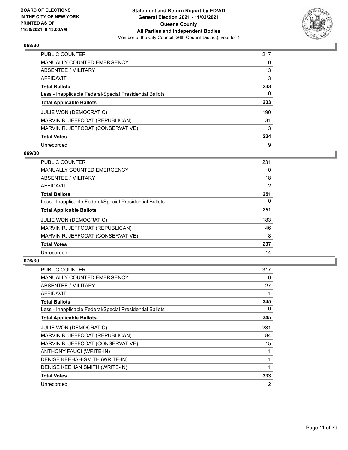

| <b>PUBLIC COUNTER</b>                                    | 217      |
|----------------------------------------------------------|----------|
| <b>MANUALLY COUNTED EMERGENCY</b>                        | $\Omega$ |
| ABSENTEE / MILITARY                                      | 13       |
| AFFIDAVIT                                                | 3        |
| <b>Total Ballots</b>                                     | 233      |
| Less - Inapplicable Federal/Special Presidential Ballots | 0        |
| <b>Total Applicable Ballots</b>                          | 233      |
| <b>JULIE WON (DEMOCRATIC)</b>                            | 190      |
| MARVIN R. JEFFCOAT (REPUBLICAN)                          | 31       |
| MARVIN R. JEFFCOAT (CONSERVATIVE)                        | 3        |
| <b>Total Votes</b>                                       | 224      |
| Unrecorded                                               | 9        |

#### **069/30**

| <b>PUBLIC COUNTER</b>                                    | 231      |
|----------------------------------------------------------|----------|
| MANUALLY COUNTED EMERGENCY                               | 0        |
| ABSENTEE / MILITARY                                      | 18       |
| <b>AFFIDAVIT</b>                                         | 2        |
| <b>Total Ballots</b>                                     | 251      |
| Less - Inapplicable Federal/Special Presidential Ballots | $\Omega$ |
| <b>Total Applicable Ballots</b>                          | 251      |
| JULIE WON (DEMOCRATIC)                                   | 183      |
| MARVIN R. JEFFCOAT (REPUBLICAN)                          | 46       |
| MARVIN R. JEFFCOAT (CONSERVATIVE)                        | 8        |
| <b>Total Votes</b>                                       | 237      |
| Unrecorded                                               | 14       |

| PUBLIC COUNTER                                           | 317 |
|----------------------------------------------------------|-----|
| <b>MANUALLY COUNTED EMERGENCY</b>                        | 0   |
| ABSENTEE / MILITARY                                      | 27  |
| AFFIDAVIT                                                | 1   |
| <b>Total Ballots</b>                                     | 345 |
| Less - Inapplicable Federal/Special Presidential Ballots | 0   |
| <b>Total Applicable Ballots</b>                          | 345 |
| JULIE WON (DEMOCRATIC)                                   | 231 |
| MARVIN R. JEFFCOAT (REPUBLICAN)                          | 84  |
| MARVIN R. JEFFCOAT (CONSERVATIVE)                        | 15  |
| ANTHONY FAUCI (WRITE-IN)                                 | 1   |
| DENISE KEEHAH-SMITH (WRITE-IN)                           | 1   |
| DENISE KEEHAN SMITH (WRITE-IN)                           | 1   |
| <b>Total Votes</b>                                       | 333 |
| Unrecorded                                               | 12  |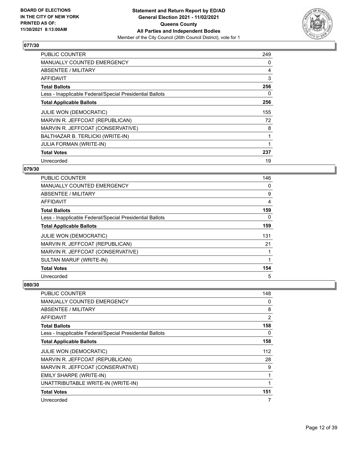

| <b>PUBLIC COUNTER</b>                                    | 249 |
|----------------------------------------------------------|-----|
| <b>MANUALLY COUNTED EMERGENCY</b>                        | 0   |
| <b>ABSENTEE / MILITARY</b>                               | 4   |
| AFFIDAVIT                                                | 3   |
| <b>Total Ballots</b>                                     | 256 |
| Less - Inapplicable Federal/Special Presidential Ballots | 0   |
| <b>Total Applicable Ballots</b>                          | 256 |
| JULIE WON (DEMOCRATIC)                                   | 155 |
| MARVIN R. JEFFCOAT (REPUBLICAN)                          | 72  |
| MARVIN R. JEFFCOAT (CONSERVATIVE)                        | 8   |
| BALTHAZAR B. TERLICKI (WRITE-IN)                         | 1   |
| <b>JULIA FORMAN (WRITE-IN)</b>                           |     |
| <b>Total Votes</b>                                       | 237 |
| Unrecorded                                               | 19  |

## **079/30**

| <b>PUBLIC COUNTER</b>                                    | 146      |
|----------------------------------------------------------|----------|
| MANUALLY COUNTED EMERGENCY                               | 0        |
| ABSENTEE / MILITARY                                      | 9        |
| AFFIDAVIT                                                | 4        |
| <b>Total Ballots</b>                                     | 159      |
| Less - Inapplicable Federal/Special Presidential Ballots | $\Omega$ |
| <b>Total Applicable Ballots</b>                          | 159      |
| <b>JULIE WON (DEMOCRATIC)</b>                            | 131      |
| MARVIN R. JEFFCOAT (REPUBLICAN)                          | 21       |
| MARVIN R. JEFFCOAT (CONSERVATIVE)                        |          |
| SULTAN MARUF (WRITE-IN)                                  | 1        |
| <b>Total Votes</b>                                       | 154      |
| Unrecorded                                               | 5        |

| <b>PUBLIC COUNTER</b>                                    | 148 |
|----------------------------------------------------------|-----|
| <b>MANUALLY COUNTED EMERGENCY</b>                        | 0   |
| ABSENTEE / MILITARY                                      | 8   |
| AFFIDAVIT                                                | 2   |
| <b>Total Ballots</b>                                     | 158 |
| Less - Inapplicable Federal/Special Presidential Ballots | 0   |
| <b>Total Applicable Ballots</b>                          | 158 |
| JULIE WON (DEMOCRATIC)                                   | 112 |
| MARVIN R. JEFFCOAT (REPUBLICAN)                          | 28  |
| MARVIN R. JEFFCOAT (CONSERVATIVE)                        | 9   |
| EMILY SHARPE (WRITE-IN)                                  | 1   |
| UNATTRIBUTABLE WRITE-IN (WRITE-IN)                       |     |
| <b>Total Votes</b>                                       | 151 |
| Unrecorded                                               | 7   |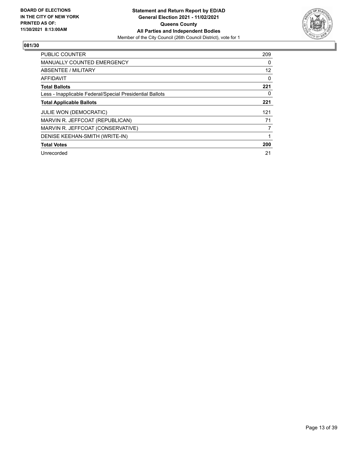

| <b>PUBLIC COUNTER</b>                                    | 209      |
|----------------------------------------------------------|----------|
| <b>MANUALLY COUNTED EMERGENCY</b>                        | $\Omega$ |
| <b>ABSENTEE / MILITARY</b>                               | 12       |
| <b>AFFIDAVIT</b>                                         | 0        |
| <b>Total Ballots</b>                                     | 221      |
| Less - Inapplicable Federal/Special Presidential Ballots | 0        |
| <b>Total Applicable Ballots</b>                          | 221      |
| <b>JULIE WON (DEMOCRATIC)</b>                            | 121      |
| MARVIN R. JEFFCOAT (REPUBLICAN)                          | 71       |
| MARVIN R. JEFFCOAT (CONSERVATIVE)                        | 7        |
| DENISE KEEHAN-SMITH (WRITE-IN)                           |          |
| <b>Total Votes</b>                                       | 200      |
| Unrecorded                                               | 21       |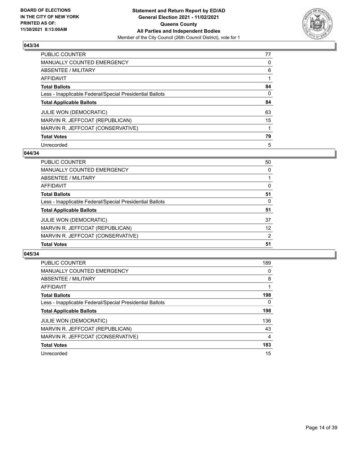

| PUBLIC COUNTER                                           | 77       |
|----------------------------------------------------------|----------|
| <b>MANUALLY COUNTED EMERGENCY</b>                        | 0        |
| ABSENTEE / MILITARY                                      | 6        |
| AFFIDAVIT                                                |          |
| <b>Total Ballots</b>                                     | 84       |
| Less - Inapplicable Federal/Special Presidential Ballots | $\Omega$ |
| <b>Total Applicable Ballots</b>                          | 84       |
| <b>JULIE WON (DEMOCRATIC)</b>                            | 63       |
| MARVIN R. JEFFCOAT (REPUBLICAN)                          | 15       |
| MARVIN R. JEFFCOAT (CONSERVATIVE)                        | 1        |
| <b>Total Votes</b>                                       | 79       |
| Unrecorded                                               | 5        |

#### **044/34**

| PUBLIC COUNTER                                           | 50       |
|----------------------------------------------------------|----------|
| MANUALLY COUNTED EMERGENCY                               | $\Omega$ |
| ABSENTEE / MILITARY                                      |          |
| AFFIDAVIT                                                | $\Omega$ |
| <b>Total Ballots</b>                                     | 51       |
| Less - Inapplicable Federal/Special Presidential Ballots | 0        |
| <b>Total Applicable Ballots</b>                          | 51       |
| <b>JULIE WON (DEMOCRATIC)</b>                            | 37       |
| MARVIN R. JEFFCOAT (REPUBLICAN)                          | 12       |
| MARVIN R. JEFFCOAT (CONSERVATIVE)                        | 2        |
| <b>Total Votes</b>                                       | 51       |

| <b>PUBLIC COUNTER</b>                                    | 189            |
|----------------------------------------------------------|----------------|
| <b>MANUALLY COUNTED EMERGENCY</b>                        | 0              |
| ABSENTEE / MILITARY                                      | 8              |
| <b>AFFIDAVIT</b>                                         |                |
| <b>Total Ballots</b>                                     | 198            |
| Less - Inapplicable Federal/Special Presidential Ballots | $\Omega$       |
| <b>Total Applicable Ballots</b>                          | 198            |
| <b>JULIE WON (DEMOCRATIC)</b>                            | 136            |
| MARVIN R. JEFFCOAT (REPUBLICAN)                          | 43             |
| MARVIN R. JEFFCOAT (CONSERVATIVE)                        | $\overline{4}$ |
| <b>Total Votes</b>                                       | 183            |
| Unrecorded                                               | 15             |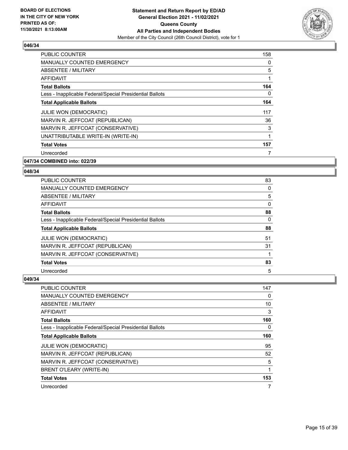

| PUBLIC COUNTER                                           | 158 |
|----------------------------------------------------------|-----|
| <b>MANUALLY COUNTED EMERGENCY</b>                        | 0   |
| ABSENTEE / MILITARY                                      | 5   |
| <b>AFFIDAVIT</b>                                         | 1   |
| <b>Total Ballots</b>                                     | 164 |
| Less - Inapplicable Federal/Special Presidential Ballots | 0   |
| <b>Total Applicable Ballots</b>                          | 164 |
| JULIE WON (DEMOCRATIC)                                   | 117 |
| MARVIN R. JEFFCOAT (REPUBLICAN)                          | 36  |
| MARVIN R. JEFFCOAT (CONSERVATIVE)                        | 3   |
| UNATTRIBUTABLE WRITE-IN (WRITE-IN)                       | 1   |
| <b>Total Votes</b>                                       | 157 |
| Unrecorded                                               | 7   |
|                                                          |     |

#### **047/34 COMBINED into: 022/39**

#### **048/34**

| <b>PUBLIC COUNTER</b>                                    | 83       |
|----------------------------------------------------------|----------|
| <b>MANUALLY COUNTED EMERGENCY</b>                        | 0        |
| ABSENTEE / MILITARY                                      | 5        |
| AFFIDAVIT                                                | $\Omega$ |
| <b>Total Ballots</b>                                     | 88       |
| Less - Inapplicable Federal/Special Presidential Ballots | 0        |
| <b>Total Applicable Ballots</b>                          | 88       |
| <b>JULIE WON (DEMOCRATIC)</b>                            | 51       |
| MARVIN R. JEFFCOAT (REPUBLICAN)                          | 31       |
| MARVIN R. JEFFCOAT (CONSERVATIVE)                        |          |
| <b>Total Votes</b>                                       | 83       |
| Unrecorded                                               | 5        |

| PUBLIC COUNTER                                           | 147 |
|----------------------------------------------------------|-----|
| MANUALLY COUNTED EMERGENCY                               | 0   |
| ABSENTEE / MILITARY                                      | 10  |
| AFFIDAVIT                                                | 3   |
| <b>Total Ballots</b>                                     | 160 |
| Less - Inapplicable Federal/Special Presidential Ballots | 0   |
| <b>Total Applicable Ballots</b>                          | 160 |
| <b>JULIE WON (DEMOCRATIC)</b>                            | 95  |
| MARVIN R. JEFFCOAT (REPUBLICAN)                          | 52  |
| MARVIN R. JEFFCOAT (CONSERVATIVE)                        | 5   |
| BRENT O'LEARY (WRITE-IN)                                 |     |
| <b>Total Votes</b>                                       | 153 |
| Unrecorded                                               | 7   |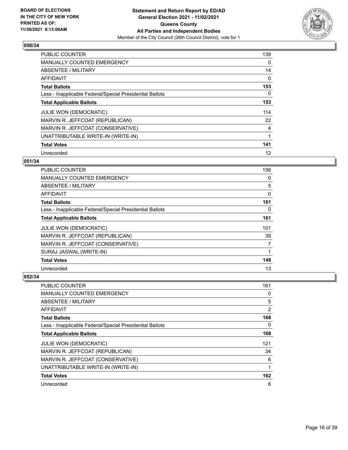

| PUBLIC COUNTER                                           | 139 |
|----------------------------------------------------------|-----|
| <b>MANUALLY COUNTED EMERGENCY</b>                        | 0   |
| ABSENTEE / MILITARY                                      | 14  |
| <b>AFFIDAVIT</b>                                         | 0   |
| <b>Total Ballots</b>                                     | 153 |
| Less - Inapplicable Federal/Special Presidential Ballots | 0   |
| <b>Total Applicable Ballots</b>                          | 153 |
| <b>JULIE WON (DEMOCRATIC)</b>                            | 114 |
| MARVIN R. JEFFCOAT (REPUBLICAN)                          | 22  |
| MARVIN R. JEFFCOAT (CONSERVATIVE)                        | 4   |
| UNATTRIBUTABLE WRITE-IN (WRITE-IN)                       | 1   |
| <b>Total Votes</b>                                       | 141 |
| Unrecorded                                               | 12  |

## **051/34**

| <b>PUBLIC COUNTER</b>                                    | 156 |
|----------------------------------------------------------|-----|
| <b>MANUALLY COUNTED EMERGENCY</b>                        | 0   |
| ABSENTEE / MILITARY                                      | 5   |
| AFFIDAVIT                                                | 0   |
| <b>Total Ballots</b>                                     | 161 |
| Less - Inapplicable Federal/Special Presidential Ballots | 0   |
| <b>Total Applicable Ballots</b>                          | 161 |
| <b>JULIE WON (DEMOCRATIC)</b>                            | 101 |
| MARVIN R. JEFFCOAT (REPUBLICAN)                          | 39  |
| MARVIN R. JEFFCOAT (CONSERVATIVE)                        | 7   |
| SURAJ JASWAL (WRITE-IN)                                  |     |
| <b>Total Votes</b>                                       | 148 |
| Unrecorded                                               | 13  |

| PUBLIC COUNTER                                           | 161 |
|----------------------------------------------------------|-----|
| MANUALLY COUNTED EMERGENCY                               | 0   |
| ABSENTEE / MILITARY                                      | 5   |
| AFFIDAVIT                                                | 2   |
| <b>Total Ballots</b>                                     | 168 |
| Less - Inapplicable Federal/Special Presidential Ballots | 0   |
| <b>Total Applicable Ballots</b>                          | 168 |
| <b>JULIE WON (DEMOCRATIC)</b>                            | 121 |
| MARVIN R. JEFFCOAT (REPUBLICAN)                          | 34  |
| MARVIN R. JEFFCOAT (CONSERVATIVE)                        | 6   |
| UNATTRIBUTABLE WRITE-IN (WRITE-IN)                       | 1   |
| <b>Total Votes</b>                                       | 162 |
| Unrecorded                                               | 6   |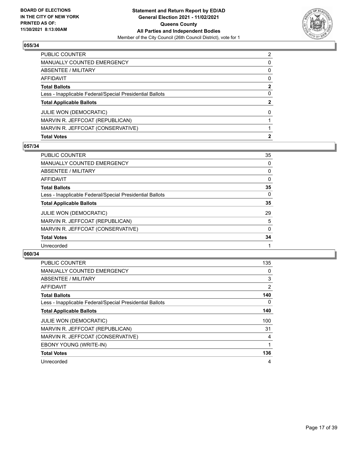

| <b>Total Votes</b>                                       | $\mathbf{2}$   |
|----------------------------------------------------------|----------------|
| MARVIN R. JEFFCOAT (CONSERVATIVE)                        |                |
| MARVIN R. JEFFCOAT (REPUBLICAN)                          |                |
| <b>JULIE WON (DEMOCRATIC)</b>                            | $\Omega$       |
| <b>Total Applicable Ballots</b>                          | $\mathbf{2}$   |
| Less - Inapplicable Federal/Special Presidential Ballots | $\Omega$       |
| <b>Total Ballots</b>                                     | $\mathbf{2}$   |
| <b>AFFIDAVIT</b>                                         | $\Omega$       |
| <b>ABSENTEE / MILITARY</b>                               | $\Omega$       |
| <b>MANUALLY COUNTED EMERGENCY</b>                        | 0              |
| PUBLIC COUNTER                                           | $\overline{2}$ |

#### **057/34**

| PUBLIC COUNTER                                           | 35           |
|----------------------------------------------------------|--------------|
| <b>MANUALLY COUNTED EMERGENCY</b>                        | 0            |
| ABSENTEE / MILITARY                                      | 0            |
| AFFIDAVIT                                                | 0            |
| <b>Total Ballots</b>                                     | 35           |
| Less - Inapplicable Federal/Special Presidential Ballots | $\Omega$     |
| <b>Total Applicable Ballots</b>                          | 35           |
| <b>JULIE WON (DEMOCRATIC)</b>                            | 29           |
| MARVIN R. JEFFCOAT (REPUBLICAN)                          | 5            |
| MARVIN R. JEFFCOAT (CONSERVATIVE)                        | $\mathbf{0}$ |
| <b>Total Votes</b>                                       | 34           |
| Unrecorded                                               |              |
|                                                          |              |

| <b>PUBLIC COUNTER</b>                                    | 135            |
|----------------------------------------------------------|----------------|
| <b>MANUALLY COUNTED EMERGENCY</b>                        | 0              |
| ABSENTEE / MILITARY                                      | 3              |
| AFFIDAVIT                                                | $\overline{2}$ |
| <b>Total Ballots</b>                                     | 140            |
| Less - Inapplicable Federal/Special Presidential Ballots | 0              |
| <b>Total Applicable Ballots</b>                          | 140            |
| <b>JULIE WON (DEMOCRATIC)</b>                            | 100            |
| MARVIN R. JEFFCOAT (REPUBLICAN)                          | 31             |
| MARVIN R. JEFFCOAT (CONSERVATIVE)                        | 4              |
| EBONY YOUNG (WRITE-IN)                                   |                |
| <b>Total Votes</b>                                       | 136            |
| Unrecorded                                               | 4              |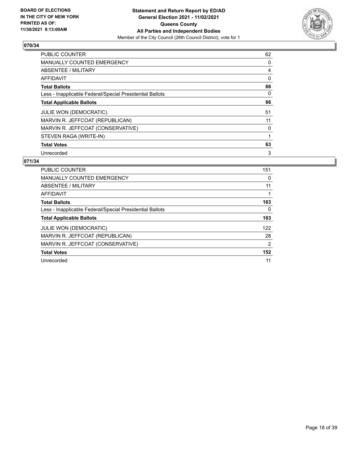

| PUBLIC COUNTER                                           | 62 |
|----------------------------------------------------------|----|
| <b>MANUALLY COUNTED EMERGENCY</b>                        | 0  |
| ABSENTEE / MILITARY                                      | 4  |
| <b>AFFIDAVIT</b>                                         | 0  |
| <b>Total Ballots</b>                                     | 66 |
| Less - Inapplicable Federal/Special Presidential Ballots | 0  |
| <b>Total Applicable Ballots</b>                          | 66 |
| <b>JULIE WON (DEMOCRATIC)</b>                            | 51 |
| MARVIN R. JEFFCOAT (REPUBLICAN)                          | 11 |
| MARVIN R. JEFFCOAT (CONSERVATIVE)                        | 0  |
| STEVEN RAGA (WRITE-IN)                                   |    |
| <b>Total Votes</b>                                       | 63 |
| Unrecorded                                               | 3  |

| <b>PUBLIC COUNTER</b>                                    | 151 |
|----------------------------------------------------------|-----|
| <b>MANUALLY COUNTED EMERGENCY</b>                        | 0   |
| ABSENTEE / MILITARY                                      | 11  |
| AFFIDAVIT                                                |     |
| <b>Total Ballots</b>                                     | 163 |
| Less - Inapplicable Federal/Special Presidential Ballots | 0   |
| <b>Total Applicable Ballots</b>                          | 163 |
| <b>JULIE WON (DEMOCRATIC)</b>                            | 122 |
| MARVIN R. JEFFCOAT (REPUBLICAN)                          | 28  |
| MARVIN R. JEFFCOAT (CONSERVATIVE)                        | 2   |
| <b>Total Votes</b>                                       | 152 |
| Unrecorded                                               | 11  |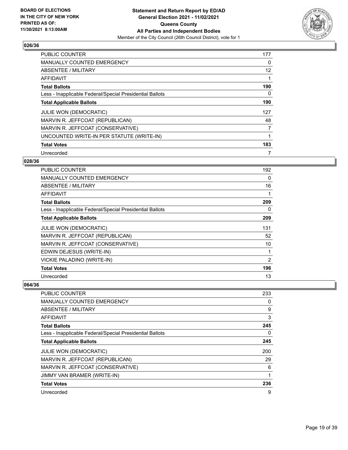

| <b>PUBLIC COUNTER</b>                                    | 177 |
|----------------------------------------------------------|-----|
| <b>MANUALLY COUNTED EMERGENCY</b>                        | 0   |
| ABSENTEE / MILITARY                                      | 12  |
| <b>AFFIDAVIT</b>                                         |     |
| <b>Total Ballots</b>                                     | 190 |
| Less - Inapplicable Federal/Special Presidential Ballots | 0   |
| <b>Total Applicable Ballots</b>                          | 190 |
| <b>JULIE WON (DEMOCRATIC)</b>                            | 127 |
| MARVIN R. JEFFCOAT (REPUBLICAN)                          | 48  |
| MARVIN R. JEFFCOAT (CONSERVATIVE)                        | 7   |
| UNCOUNTED WRITE-IN PER STATUTE (WRITE-IN)                |     |
| <b>Total Votes</b>                                       | 183 |
| Unrecorded                                               | 7   |

## **028/36**

| <b>PUBLIC COUNTER</b>                                    | 192 |
|----------------------------------------------------------|-----|
| <b>MANUALLY COUNTED EMERGENCY</b>                        | 0   |
| ABSENTEE / MILITARY                                      | 16  |
| <b>AFFIDAVIT</b>                                         | 1   |
| <b>Total Ballots</b>                                     | 209 |
| Less - Inapplicable Federal/Special Presidential Ballots | 0   |
| <b>Total Applicable Ballots</b>                          | 209 |
| JULIE WON (DEMOCRATIC)                                   | 131 |
| MARVIN R. JEFFCOAT (REPUBLICAN)                          | 52  |
| MARVIN R. JEFFCOAT (CONSERVATIVE)                        | 10  |
| EDWIN DEJESUS (WRITE-IN)                                 | 1   |
| VICKIE PALADINO (WRITE-IN)                               | 2   |
| <b>Total Votes</b>                                       | 196 |
| Unrecorded                                               | 13  |

| PUBLIC COUNTER                                           | 233 |
|----------------------------------------------------------|-----|
| MANUALLY COUNTED EMERGENCY                               | 0   |
| ABSENTEE / MILITARY                                      | 9   |
| AFFIDAVIT                                                | 3   |
| <b>Total Ballots</b>                                     | 245 |
| Less - Inapplicable Federal/Special Presidential Ballots | 0   |
| <b>Total Applicable Ballots</b>                          | 245 |
| <b>JULIE WON (DEMOCRATIC)</b>                            | 200 |
| MARVIN R. JEFFCOAT (REPUBLICAN)                          | 29  |
| MARVIN R. JEFFCOAT (CONSERVATIVE)                        | 6   |
| <b>JIMMY VAN BRAMER (WRITE-IN)</b>                       |     |
| <b>Total Votes</b>                                       | 236 |
| Unrecorded                                               | 9   |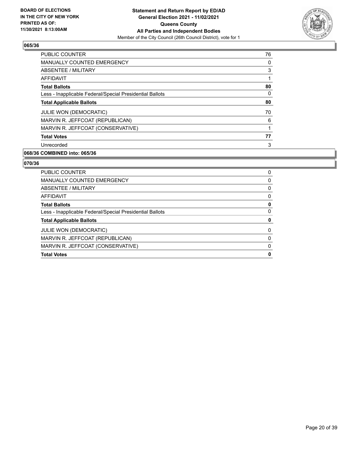

| <b>PUBLIC COUNTER</b>                                    | 76 |
|----------------------------------------------------------|----|
| <b>MANUALLY COUNTED EMERGENCY</b>                        | 0  |
| ABSENTEE / MILITARY                                      | 3  |
| <b>AFFIDAVIT</b>                                         |    |
| <b>Total Ballots</b>                                     | 80 |
| Less - Inapplicable Federal/Special Presidential Ballots | 0  |
| <b>Total Applicable Ballots</b>                          | 80 |
| <b>JULIE WON (DEMOCRATIC)</b>                            | 70 |
| MARVIN R. JEFFCOAT (REPUBLICAN)                          | 6  |
| MARVIN R. JEFFCOAT (CONSERVATIVE)                        | 1  |
| <b>Total Votes</b>                                       | 77 |
| Unrecorded                                               | 3  |

# **068/36 COMBINED into: 065/36**

| <b>PUBLIC COUNTER</b>                                    | 0 |
|----------------------------------------------------------|---|
| <b>MANUALLY COUNTED EMERGENCY</b>                        | 0 |
| ABSENTEE / MILITARY                                      | 0 |
| AFFIDAVIT                                                | 0 |
| <b>Total Ballots</b>                                     | 0 |
| Less - Inapplicable Federal/Special Presidential Ballots | 0 |
| <b>Total Applicable Ballots</b>                          | 0 |
| <b>JULIE WON (DEMOCRATIC)</b>                            | 0 |
| MARVIN R. JEFFCOAT (REPUBLICAN)                          | 0 |
| MARVIN R. JEFFCOAT (CONSERVATIVE)                        | 0 |
| <b>Total Votes</b>                                       | 0 |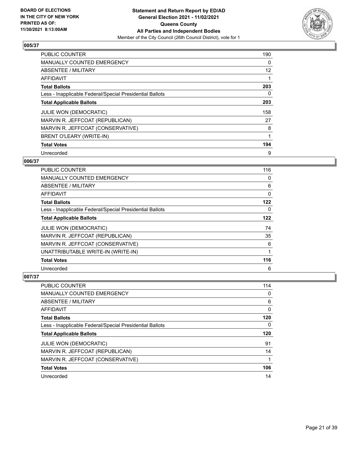

| <b>PUBLIC COUNTER</b>                                    | 190               |
|----------------------------------------------------------|-------------------|
| <b>MANUALLY COUNTED EMERGENCY</b>                        | 0                 |
| ABSENTEE / MILITARY                                      | $12 \overline{ }$ |
| <b>AFFIDAVIT</b>                                         |                   |
| <b>Total Ballots</b>                                     | 203               |
| Less - Inapplicable Federal/Special Presidential Ballots | 0                 |
| <b>Total Applicable Ballots</b>                          | 203               |
| <b>JULIE WON (DEMOCRATIC)</b>                            | 158               |
| MARVIN R. JEFFCOAT (REPUBLICAN)                          | 27                |
| MARVIN R. JEFFCOAT (CONSERVATIVE)                        | 8                 |
| BRENT O'LEARY (WRITE-IN)                                 |                   |
| <b>Total Votes</b>                                       | 194               |
| Unrecorded                                               | 9                 |

## **006/37**

| <b>PUBLIC COUNTER</b>                                    | 116 |
|----------------------------------------------------------|-----|
| <b>MANUALLY COUNTED EMERGENCY</b>                        | 0   |
| ABSENTEE / MILITARY                                      | 6   |
| AFFIDAVIT                                                | 0   |
| <b>Total Ballots</b>                                     | 122 |
| Less - Inapplicable Federal/Special Presidential Ballots | 0   |
| <b>Total Applicable Ballots</b>                          | 122 |
| <b>JULIE WON (DEMOCRATIC)</b>                            | 74  |
| MARVIN R. JEFFCOAT (REPUBLICAN)                          | 35  |
| MARVIN R. JEFFCOAT (CONSERVATIVE)                        | 6   |
| UNATTRIBUTABLE WRITE-IN (WRITE-IN)                       | 1   |
| <b>Total Votes</b>                                       | 116 |
| Unrecorded                                               | 6   |

| <b>PUBLIC COUNTER</b>                                    | 114 |
|----------------------------------------------------------|-----|
| <b>MANUALLY COUNTED EMERGENCY</b>                        | 0   |
| ABSENTEE / MILITARY                                      | 6   |
| AFFIDAVIT                                                | 0   |
| <b>Total Ballots</b>                                     | 120 |
| Less - Inapplicable Federal/Special Presidential Ballots | 0   |
|                                                          |     |
| <b>Total Applicable Ballots</b>                          | 120 |
| JULIE WON (DEMOCRATIC)                                   | 91  |
| MARVIN R. JEFFCOAT (REPUBLICAN)                          | 14  |
| MARVIN R. JEFFCOAT (CONSERVATIVE)                        |     |
| <b>Total Votes</b>                                       | 106 |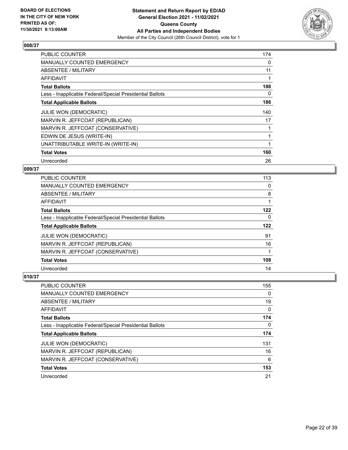

| <b>PUBLIC COUNTER</b>                                    | 174 |
|----------------------------------------------------------|-----|
| <b>MANUALLY COUNTED EMERGENCY</b>                        | 0   |
| ABSENTEE / MILITARY                                      | 11  |
| AFFIDAVIT                                                |     |
| <b>Total Ballots</b>                                     | 186 |
| Less - Inapplicable Federal/Special Presidential Ballots | 0   |
| <b>Total Applicable Ballots</b>                          | 186 |
| JULIE WON (DEMOCRATIC)                                   | 140 |
| MARVIN R. JEFFCOAT (REPUBLICAN)                          | 17  |
| MARVIN R. JEFFCOAT (CONSERVATIVE)                        |     |
| EDWIN DE JESUS (WRITE-IN)                                |     |
| UNATTRIBUTABLE WRITE-IN (WRITE-IN)                       |     |
|                                                          |     |
| <b>Total Votes</b>                                       | 160 |

## **009/37**

| <b>PUBLIC COUNTER</b>                                    | 113 |
|----------------------------------------------------------|-----|
| <b>MANUALLY COUNTED EMERGENCY</b>                        | 0   |
| ABSENTEE / MILITARY                                      | 8   |
| <b>AFFIDAVIT</b>                                         |     |
| <b>Total Ballots</b>                                     | 122 |
| Less - Inapplicable Federal/Special Presidential Ballots | 0   |
| <b>Total Applicable Ballots</b>                          | 122 |
| <b>JULIE WON (DEMOCRATIC)</b>                            | 91  |
| MARVIN R. JEFFCOAT (REPUBLICAN)                          | 16  |
| MARVIN R. JEFFCOAT (CONSERVATIVE)                        |     |
| <b>Total Votes</b>                                       | 108 |
| Unrecorded                                               | 14  |

| PUBLIC COUNTER                                           | 155 |
|----------------------------------------------------------|-----|
| MANUALLY COUNTED EMERGENCY                               | 0   |
| ABSENTEE / MILITARY                                      | 19  |
| AFFIDAVIT                                                | 0   |
| <b>Total Ballots</b>                                     | 174 |
| Less - Inapplicable Federal/Special Presidential Ballots | 0   |
| <b>Total Applicable Ballots</b>                          | 174 |
| <b>JULIE WON (DEMOCRATIC)</b>                            | 131 |
| MARVIN R. JEFFCOAT (REPUBLICAN)                          | 16  |
| MARVIN R. JEFFCOAT (CONSERVATIVE)                        | 6   |
| <b>Total Votes</b>                                       | 153 |
| Unrecorded                                               | 21  |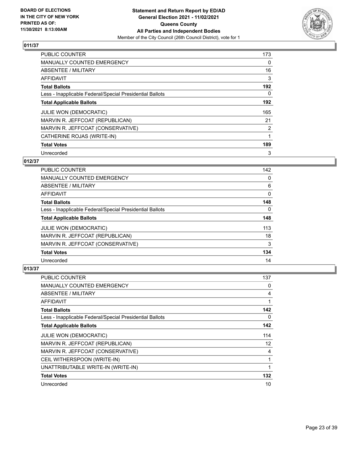

| <b>PUBLIC COUNTER</b>                                    | 173      |
|----------------------------------------------------------|----------|
| <b>MANUALLY COUNTED EMERGENCY</b>                        | 0        |
| ABSENTEE / MILITARY                                      | 16       |
| <b>AFFIDAVIT</b>                                         | 3        |
| <b>Total Ballots</b>                                     | 192      |
| Less - Inapplicable Federal/Special Presidential Ballots | $\Omega$ |
| <b>Total Applicable Ballots</b>                          | 192      |
| <b>JULIE WON (DEMOCRATIC)</b>                            | 165      |
| MARVIN R. JEFFCOAT (REPUBLICAN)                          | 21       |
| MARVIN R. JEFFCOAT (CONSERVATIVE)                        | 2        |
| CATHERINE ROJAS (WRITE-IN)                               |          |
| <b>Total Votes</b>                                       | 189      |
| Unrecorded                                               | 3        |

## **012/37**

| <b>PUBLIC COUNTER</b>                                    | 142      |
|----------------------------------------------------------|----------|
| <b>MANUALLY COUNTED EMERGENCY</b>                        | 0        |
| ABSENTEE / MILITARY                                      | 6        |
| AFFIDAVIT                                                | $\Omega$ |
| <b>Total Ballots</b>                                     | 148      |
| Less - Inapplicable Federal/Special Presidential Ballots | $\Omega$ |
| <b>Total Applicable Ballots</b>                          | 148      |
| <b>JULIE WON (DEMOCRATIC)</b>                            | 113      |
| MARVIN R. JEFFCOAT (REPUBLICAN)                          | 18       |
| MARVIN R. JEFFCOAT (CONSERVATIVE)                        | 3        |
| <b>Total Votes</b>                                       | 134      |
| Unrecorded                                               | 14       |

| <b>PUBLIC COUNTER</b>                                    | 137 |
|----------------------------------------------------------|-----|
| <b>MANUALLY COUNTED EMERGENCY</b>                        | 0   |
| ABSENTEE / MILITARY                                      | 4   |
| AFFIDAVIT                                                | 1   |
| <b>Total Ballots</b>                                     | 142 |
| Less - Inapplicable Federal/Special Presidential Ballots | 0   |
| <b>Total Applicable Ballots</b>                          | 142 |
| <b>JULIE WON (DEMOCRATIC)</b>                            | 114 |
| MARVIN R. JEFFCOAT (REPUBLICAN)                          | 12  |
| MARVIN R. JEFFCOAT (CONSERVATIVE)                        | 4   |
| CEIL WITHERSPOON (WRITE-IN)                              | 1   |
| UNATTRIBUTABLE WRITE-IN (WRITE-IN)                       | 1   |
| <b>Total Votes</b>                                       | 132 |
| Unrecorded                                               | 10  |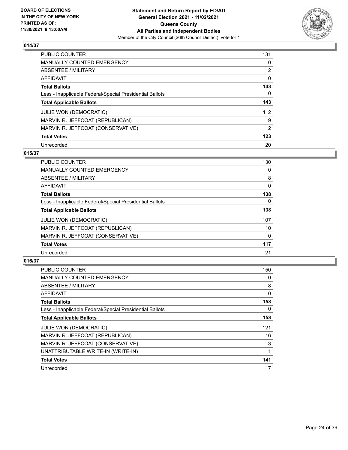

| <b>PUBLIC COUNTER</b>                                    | 131      |
|----------------------------------------------------------|----------|
| <b>MANUALLY COUNTED EMERGENCY</b>                        | $\Omega$ |
| ABSENTEE / MILITARY                                      | 12       |
| AFFIDAVIT                                                | $\Omega$ |
| <b>Total Ballots</b>                                     | 143      |
| Less - Inapplicable Federal/Special Presidential Ballots | 0        |
| <b>Total Applicable Ballots</b>                          | 143      |
| <b>JULIE WON (DEMOCRATIC)</b>                            | 112      |
| MARVIN R. JEFFCOAT (REPUBLICAN)                          | 9        |
| MARVIN R. JEFFCOAT (CONSERVATIVE)                        | 2        |
| <b>Total Votes</b>                                       | 123      |
| Unrecorded                                               | 20       |

#### **015/37**

| <b>PUBLIC COUNTER</b>                                    | 130      |
|----------------------------------------------------------|----------|
| MANUALLY COUNTED EMERGENCY                               | 0        |
| ABSENTEE / MILITARY                                      | 8        |
| <b>AFFIDAVIT</b>                                         | 0        |
| <b>Total Ballots</b>                                     | 138      |
| Less - Inapplicable Federal/Special Presidential Ballots | $\Omega$ |
| <b>Total Applicable Ballots</b>                          | 138      |
| <b>JULIE WON (DEMOCRATIC)</b>                            | 107      |
| MARVIN R. JEFFCOAT (REPUBLICAN)                          | 10       |
| MARVIN R. JEFFCOAT (CONSERVATIVE)                        | 0        |
| <b>Total Votes</b>                                       | 117      |
| Unrecorded                                               | 21       |

| <b>PUBLIC COUNTER</b>                                    | 150 |
|----------------------------------------------------------|-----|
| <b>MANUALLY COUNTED EMERGENCY</b>                        | 0   |
| ABSENTEE / MILITARY                                      | 8   |
| AFFIDAVIT                                                | 0   |
| <b>Total Ballots</b>                                     | 158 |
| Less - Inapplicable Federal/Special Presidential Ballots | 0   |
| <b>Total Applicable Ballots</b>                          | 158 |
| <b>JULIE WON (DEMOCRATIC)</b>                            | 121 |
| MARVIN R. JEFFCOAT (REPUBLICAN)                          | 16  |
| MARVIN R. JEFFCOAT (CONSERVATIVE)                        | 3   |
| UNATTRIBUTABLE WRITE-IN (WRITE-IN)                       |     |
| <b>Total Votes</b>                                       | 141 |
| Unrecorded                                               | 17  |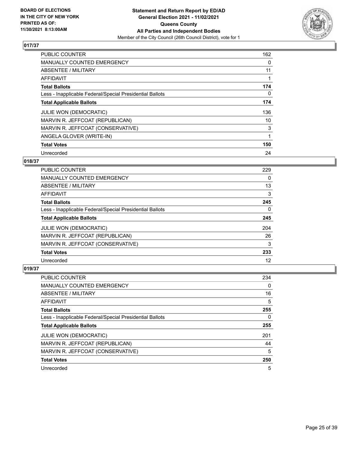

| <b>PUBLIC COUNTER</b>                                    | 162 |
|----------------------------------------------------------|-----|
| <b>MANUALLY COUNTED EMERGENCY</b>                        | 0   |
| ABSENTEE / MILITARY                                      | 11  |
| <b>AFFIDAVIT</b>                                         |     |
| <b>Total Ballots</b>                                     | 174 |
| Less - Inapplicable Federal/Special Presidential Ballots | 0   |
| <b>Total Applicable Ballots</b>                          | 174 |
| <b>JULIE WON (DEMOCRATIC)</b>                            | 136 |
| MARVIN R. JEFFCOAT (REPUBLICAN)                          | 10  |
| MARVIN R. JEFFCOAT (CONSERVATIVE)                        | 3   |
| ANGELA GLOVER (WRITE-IN)                                 |     |
| <b>Total Votes</b>                                       | 150 |
| Unrecorded                                               | 24  |

## **018/37**

| <b>PUBLIC COUNTER</b>                                    | 229 |
|----------------------------------------------------------|-----|
| <b>MANUALLY COUNTED EMERGENCY</b>                        | 0   |
| ABSENTEE / MILITARY                                      | 13  |
| AFFIDAVIT                                                | 3   |
| <b>Total Ballots</b>                                     | 245 |
| Less - Inapplicable Federal/Special Presidential Ballots | 0   |
| <b>Total Applicable Ballots</b>                          | 245 |
| JULIE WON (DEMOCRATIC)                                   | 204 |
| MARVIN R. JEFFCOAT (REPUBLICAN)                          | 26  |
| MARVIN R. JEFFCOAT (CONSERVATIVE)                        | 3   |
| <b>Total Votes</b>                                       | 233 |
| Unrecorded                                               | 12  |

| <b>PUBLIC COUNTER</b>                                    | 234 |
|----------------------------------------------------------|-----|
| <b>MANUALLY COUNTED EMERGENCY</b>                        | 0   |
| ABSENTEE / MILITARY                                      | 16  |
| AFFIDAVIT                                                | 5   |
| <b>Total Ballots</b>                                     | 255 |
| Less - Inapplicable Federal/Special Presidential Ballots | 0   |
| <b>Total Applicable Ballots</b>                          | 255 |
| <b>JULIE WON (DEMOCRATIC)</b>                            | 201 |
| MARVIN R. JEFFCOAT (REPUBLICAN)                          | 44  |
| MARVIN R. JEFFCOAT (CONSERVATIVE)                        | 5   |
| <b>Total Votes</b>                                       | 250 |
| Unrecorded                                               | 5   |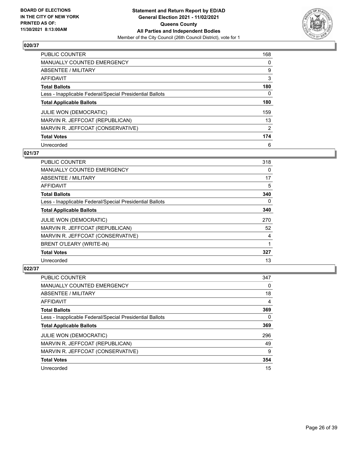

| PUBLIC COUNTER                                           | 168      |
|----------------------------------------------------------|----------|
| <b>MANUALLY COUNTED EMERGENCY</b>                        | $\Omega$ |
| ABSENTEE / MILITARY                                      | 9        |
| AFFIDAVIT                                                | 3        |
| <b>Total Ballots</b>                                     | 180      |
| Less - Inapplicable Federal/Special Presidential Ballots | 0        |
| <b>Total Applicable Ballots</b>                          | 180      |
| <b>JULIE WON (DEMOCRATIC)</b>                            | 159      |
| MARVIN R. JEFFCOAT (REPUBLICAN)                          | 13       |
| MARVIN R. JEFFCOAT (CONSERVATIVE)                        | 2        |
| <b>Total Votes</b>                                       | 174      |
| Unrecorded                                               | 6        |

#### **021/37**

| <b>PUBLIC COUNTER</b>                                    | 318      |
|----------------------------------------------------------|----------|
| <b>MANUALLY COUNTED EMERGENCY</b>                        | $\Omega$ |
| ABSENTEE / MILITARY                                      | 17       |
| AFFIDAVIT                                                | 5        |
| <b>Total Ballots</b>                                     | 340      |
| Less - Inapplicable Federal/Special Presidential Ballots | $\Omega$ |
| <b>Total Applicable Ballots</b>                          | 340      |
| JULIE WON (DEMOCRATIC)                                   | 270      |
| MARVIN R. JEFFCOAT (REPUBLICAN)                          | 52       |
| MARVIN R. JEFFCOAT (CONSERVATIVE)                        | 4        |
| <b>BRENT O'LEARY (WRITE-IN)</b>                          | 1        |
| <b>Total Votes</b>                                       | 327      |
| Unrecorded                                               | 13       |

| <b>PUBLIC COUNTER</b>                                    | 347 |
|----------------------------------------------------------|-----|
| <b>MANUALLY COUNTED EMERGENCY</b>                        | 0   |
| ABSENTEE / MILITARY                                      | 18  |
| AFFIDAVIT                                                | 4   |
| <b>Total Ballots</b>                                     | 369 |
| Less - Inapplicable Federal/Special Presidential Ballots | 0   |
| <b>Total Applicable Ballots</b>                          | 369 |
| <b>JULIE WON (DEMOCRATIC)</b>                            | 296 |
| MARVIN R. JEFFCOAT (REPUBLICAN)                          | 49  |
| MARVIN R. JEFFCOAT (CONSERVATIVE)                        | 9   |
| <b>Total Votes</b>                                       | 354 |
| Unrecorded                                               | 15  |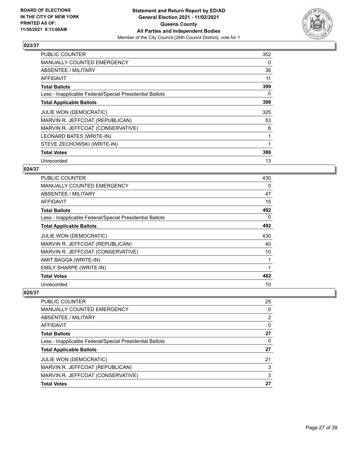

| <b>PUBLIC COUNTER</b>                                    | 352 |
|----------------------------------------------------------|-----|
| <b>MANUALLY COUNTED EMERGENCY</b>                        | 0   |
| <b>ABSENTEE / MILITARY</b>                               | 36  |
| AFFIDAVIT                                                | 11  |
| <b>Total Ballots</b>                                     | 399 |
| Less - Inapplicable Federal/Special Presidential Ballots | 0   |
| <b>Total Applicable Ballots</b>                          | 399 |
| JULIE WON (DEMOCRATIC)                                   | 325 |
| MARVIN R. JEFFCOAT (REPUBLICAN)                          | 53  |
| MARVIN R. JEFFCOAT (CONSERVATIVE)                        | 6   |
| LEONARD BATES (WRITE-IN)                                 | 1   |
| STEVE ZECHOWSKI (WRITE-IN)                               |     |
| <b>Total Votes</b>                                       | 386 |
| Unrecorded                                               | 13  |

## **024/37**

| PUBLIC COUNTER                                           | 430      |
|----------------------------------------------------------|----------|
| <b>MANUALLY COUNTED EMERGENCY</b>                        | 0        |
| <b>ABSENTEE / MILITARY</b>                               | 47       |
| <b>AFFIDAVIT</b>                                         | 15       |
| <b>Total Ballots</b>                                     | 492      |
| Less - Inapplicable Federal/Special Presidential Ballots | $\Omega$ |
| <b>Total Applicable Ballots</b>                          | 492      |
| <b>JULIE WON (DEMOCRATIC)</b>                            | 430      |
| MARVIN R. JEFFCOAT (REPUBLICAN)                          | 40       |
| MARVIN R. JEFFCOAT (CONSERVATIVE)                        | 10       |
| AMIT BAGGA (WRITE-IN)                                    | 1        |
| EMILY SHARPE (WRITE-IN)                                  |          |
| <b>Total Votes</b>                                       | 482      |
| Unrecorded                                               | 10       |

| <b>PUBLIC COUNTER</b>                                    | 25             |
|----------------------------------------------------------|----------------|
| <b>MANUALLY COUNTED EMERGENCY</b>                        | 0              |
| ABSENTEE / MILITARY                                      | $\overline{2}$ |
| <b>AFFIDAVIT</b>                                         | $\Omega$       |
| <b>Total Ballots</b>                                     | 27             |
| Less - Inapplicable Federal/Special Presidential Ballots | 0              |
| <b>Total Applicable Ballots</b>                          | 27             |
| <b>JULIE WON (DEMOCRATIC)</b>                            | 21             |
| MARVIN R. JEFFCOAT (REPUBLICAN)                          | 3              |
| MARVIN R. JEFFCOAT (CONSERVATIVE)                        | 3              |
| <b>Total Votes</b>                                       | 27             |
|                                                          |                |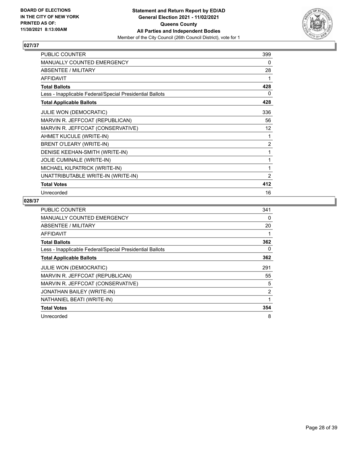

| <b>PUBLIC COUNTER</b>                                    | 399            |
|----------------------------------------------------------|----------------|
| <b>MANUALLY COUNTED EMERGENCY</b>                        | 0              |
| ABSENTEE / MILITARY                                      | 28             |
| <b>AFFIDAVIT</b>                                         | 1              |
| <b>Total Ballots</b>                                     | 428            |
| Less - Inapplicable Federal/Special Presidential Ballots | 0              |
| <b>Total Applicable Ballots</b>                          | 428            |
| <b>JULIE WON (DEMOCRATIC)</b>                            | 336            |
| MARVIN R. JEFFCOAT (REPUBLICAN)                          | 56             |
| MARVIN R. JEFFCOAT (CONSERVATIVE)                        | 12             |
| AHMET KUCULE (WRITE-IN)                                  | 1              |
| <b>BRENT O'LEARY (WRITE-IN)</b>                          | $\overline{2}$ |
| DENISE KEEHAN-SMITH (WRITE-IN)                           | 1              |
| <b>JOLIE CUMINALE (WRITE-IN)</b>                         | 1              |
| MICHAEL KILPATRICK (WRITE-IN)                            | 1              |
| UNATTRIBUTABLE WRITE-IN (WRITE-IN)                       | 2              |
| <b>Total Votes</b>                                       | 412            |
| Unrecorded                                               | 16             |

| <b>PUBLIC COUNTER</b>                                    | 341            |
|----------------------------------------------------------|----------------|
| <b>MANUALLY COUNTED EMERGENCY</b>                        | 0              |
| ABSENTEE / MILITARY                                      | 20             |
| AFFIDAVIT                                                |                |
| <b>Total Ballots</b>                                     | 362            |
| Less - Inapplicable Federal/Special Presidential Ballots | 0              |
| <b>Total Applicable Ballots</b>                          | 362            |
| <b>JULIE WON (DEMOCRATIC)</b>                            | 291            |
| MARVIN R. JEFFCOAT (REPUBLICAN)                          | 55             |
| MARVIN R. JEFFCOAT (CONSERVATIVE)                        | 5              |
| JONATHAN BAILEY (WRITE-IN)                               | $\overline{2}$ |
| NATHANIEL BEATI (WRITE-IN)                               | 1              |
| <b>Total Votes</b>                                       | 354            |
| Unrecorded                                               | 8              |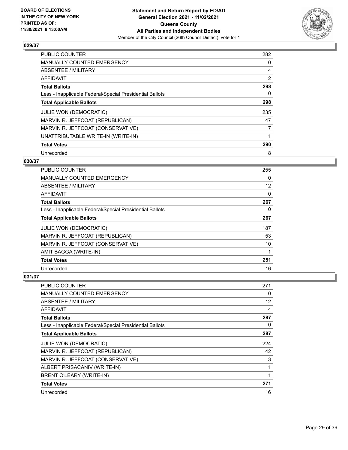

| <b>PUBLIC COUNTER</b>                                    | 282      |
|----------------------------------------------------------|----------|
| <b>MANUALLY COUNTED EMERGENCY</b>                        | $\Omega$ |
| ABSENTEE / MILITARY                                      | 14       |
| <b>AFFIDAVIT</b>                                         | 2        |
| <b>Total Ballots</b>                                     | 298      |
| Less - Inapplicable Federal/Special Presidential Ballots | $\Omega$ |
| <b>Total Applicable Ballots</b>                          | 298      |
| JULIE WON (DEMOCRATIC)                                   | 235      |
| MARVIN R. JEFFCOAT (REPUBLICAN)                          | 47       |
| MARVIN R. JEFFCOAT (CONSERVATIVE)                        | 7        |
| UNATTRIBUTABLE WRITE-IN (WRITE-IN)                       |          |
| <b>Total Votes</b>                                       | 290      |
| Unrecorded                                               | 8        |

## **030/37**

| <b>PUBLIC COUNTER</b>                                    | 255 |
|----------------------------------------------------------|-----|
| MANUALLY COUNTED EMERGENCY                               | 0   |
| ABSENTEE / MILITARY                                      | 12  |
| AFFIDAVIT                                                | 0   |
| <b>Total Ballots</b>                                     | 267 |
| Less - Inapplicable Federal/Special Presidential Ballots | 0   |
| <b>Total Applicable Ballots</b>                          | 267 |
| <b>JULIE WON (DEMOCRATIC)</b>                            | 187 |
| MARVIN R. JEFFCOAT (REPUBLICAN)                          | 53  |
| MARVIN R. JEFFCOAT (CONSERVATIVE)                        | 10  |
| AMIT BAGGA (WRITE-IN)                                    |     |
| <b>Total Votes</b>                                       | 251 |
| Unrecorded                                               | 16  |

| <b>PUBLIC COUNTER</b>                                    | 271      |
|----------------------------------------------------------|----------|
| MANUALLY COUNTED EMERGENCY                               | 0        |
| ABSENTEE / MILITARY                                      | 12       |
| AFFIDAVIT                                                | 4        |
| <b>Total Ballots</b>                                     | 287      |
| Less - Inapplicable Federal/Special Presidential Ballots | $\Omega$ |
| <b>Total Applicable Ballots</b>                          | 287      |
| JULIE WON (DEMOCRATIC)                                   | 224      |
| MARVIN R. JEFFCOAT (REPUBLICAN)                          | 42       |
| MARVIN R. JEFFCOAT (CONSERVATIVE)                        | 3        |
| ALBERT PRISACANIV (WRITE-IN)                             |          |
| BRENT O'LEARY (WRITE-IN)                                 | 1        |
| <b>Total Votes</b>                                       | 271      |
| Unrecorded                                               | 16       |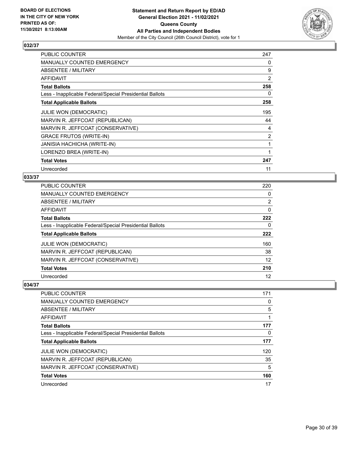

| <b>PUBLIC COUNTER</b>                                    | 247 |
|----------------------------------------------------------|-----|
| <b>MANUALLY COUNTED EMERGENCY</b>                        | 0   |
| ABSENTEE / MILITARY                                      | 9   |
| AFFIDAVIT                                                | 2   |
| <b>Total Ballots</b>                                     | 258 |
| Less - Inapplicable Federal/Special Presidential Ballots | 0   |
| <b>Total Applicable Ballots</b>                          | 258 |
| JULIE WON (DEMOCRATIC)                                   | 195 |
| MARVIN R. JEFFCOAT (REPUBLICAN)                          | 44  |
| MARVIN R. JEFFCOAT (CONSERVATIVE)                        | 4   |
| <b>GRACE FRUTOS (WRITE-IN)</b>                           | 2   |
| JANISIA HACHICHA (WRITE-IN)                              | 1   |
| LORENZO BREA (WRITE-IN)                                  |     |
| <b>Total Votes</b>                                       | 247 |
| Unrecorded                                               | 11  |

## **033/37**

| PUBLIC COUNTER                                           | 220               |
|----------------------------------------------------------|-------------------|
| <b>MANUALLY COUNTED EMERGENCY</b>                        | 0                 |
| <b>ABSENTEE / MILITARY</b>                               | 2                 |
| <b>AFFIDAVIT</b>                                         | 0                 |
| <b>Total Ballots</b>                                     | 222               |
| Less - Inapplicable Federal/Special Presidential Ballots | 0                 |
| <b>Total Applicable Ballots</b>                          | 222               |
| <b>JULIE WON (DEMOCRATIC)</b>                            | 160               |
| MARVIN R. JEFFCOAT (REPUBLICAN)                          | 38                |
| MARVIN R. JEFFCOAT (CONSERVATIVE)                        | $12 \overline{ }$ |
| <b>Total Votes</b>                                       | 210               |
| Unrecorded                                               | 12                |

| <b>PUBLIC COUNTER</b>                                    | 171 |
|----------------------------------------------------------|-----|
| <b>MANUALLY COUNTED EMERGENCY</b>                        | 0   |
| ABSENTEE / MILITARY                                      | 5   |
| AFFIDAVIT                                                |     |
| <b>Total Ballots</b>                                     | 177 |
| Less - Inapplicable Federal/Special Presidential Ballots | 0   |
| <b>Total Applicable Ballots</b>                          | 177 |
| <b>JULIE WON (DEMOCRATIC)</b>                            | 120 |
| MARVIN R. JEFFCOAT (REPUBLICAN)                          | 35  |
| MARVIN R. JEFFCOAT (CONSERVATIVE)                        | 5   |
| <b>Total Votes</b>                                       | 160 |
| Unrecorded                                               | 17  |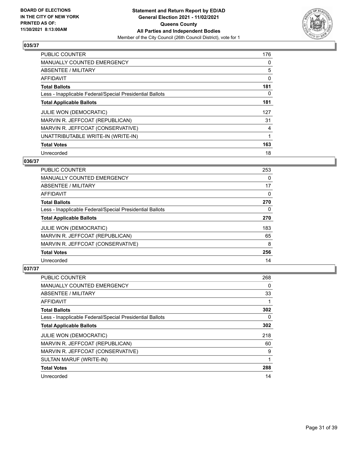

| <b>PUBLIC COUNTER</b>                                    | 176 |
|----------------------------------------------------------|-----|
| <b>MANUALLY COUNTED EMERGENCY</b>                        | 0   |
| ABSENTEE / MILITARY                                      | 5   |
| <b>AFFIDAVIT</b>                                         | 0   |
| <b>Total Ballots</b>                                     | 181 |
| Less - Inapplicable Federal/Special Presidential Ballots | 0   |
| <b>Total Applicable Ballots</b>                          | 181 |
| <b>JULIE WON (DEMOCRATIC)</b>                            | 127 |
| MARVIN R. JEFFCOAT (REPUBLICAN)                          | 31  |
| MARVIN R. JEFFCOAT (CONSERVATIVE)                        | 4   |
| UNATTRIBUTABLE WRITE-IN (WRITE-IN)                       |     |
| <b>Total Votes</b>                                       | 163 |
| Unrecorded                                               | 18  |

## **036/37**

| <b>PUBLIC COUNTER</b>                                    | 253      |
|----------------------------------------------------------|----------|
| <b>MANUALLY COUNTED EMERGENCY</b>                        | 0        |
| ABSENTEE / MILITARY                                      | 17       |
| <b>AFFIDAVIT</b>                                         | $\Omega$ |
| <b>Total Ballots</b>                                     | 270      |
| Less - Inapplicable Federal/Special Presidential Ballots | $\Omega$ |
| <b>Total Applicable Ballots</b>                          | 270      |
| <b>JULIE WON (DEMOCRATIC)</b>                            | 183      |
| MARVIN R. JEFFCOAT (REPUBLICAN)                          | 65       |
| MARVIN R. JEFFCOAT (CONSERVATIVE)                        | 8        |
| <b>Total Votes</b>                                       | 256      |
| Unrecorded                                               | 14       |

| <b>PUBLIC COUNTER</b>                                    | 268 |
|----------------------------------------------------------|-----|
| <b>MANUALLY COUNTED EMERGENCY</b>                        | 0   |
| ABSENTEE / MILITARY                                      | 33  |
| AFFIDAVIT                                                |     |
| <b>Total Ballots</b>                                     | 302 |
| Less - Inapplicable Federal/Special Presidential Ballots | 0   |
| <b>Total Applicable Ballots</b>                          | 302 |
| <b>JULIE WON (DEMOCRATIC)</b>                            | 218 |
| MARVIN R. JEFFCOAT (REPUBLICAN)                          | 60  |
| MARVIN R. JEFFCOAT (CONSERVATIVE)                        | 9   |
| SULTAN MARUF (WRITE-IN)                                  |     |
| <b>Total Votes</b>                                       | 288 |
| Unrecorded                                               | 14  |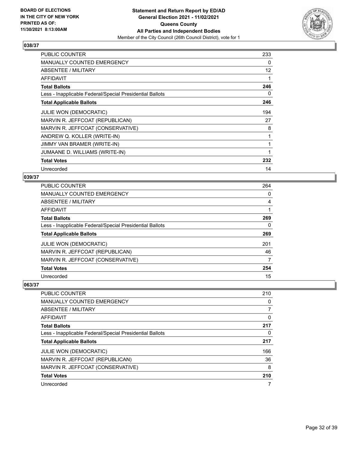

| <b>PUBLIC COUNTER</b>                                    | 233 |
|----------------------------------------------------------|-----|
| MANUALLY COUNTED EMERGENCY                               | 0   |
| ABSENTEE / MILITARY                                      | 12  |
| AFFIDAVIT                                                |     |
| <b>Total Ballots</b>                                     | 246 |
| Less - Inapplicable Federal/Special Presidential Ballots | 0   |
| <b>Total Applicable Ballots</b>                          | 246 |
| <b>JULIE WON (DEMOCRATIC)</b>                            | 194 |
| MARVIN R. JEFFCOAT (REPUBLICAN)                          | 27  |
| MARVIN R. JEFFCOAT (CONSERVATIVE)                        | 8   |
| ANDREW Q. KOLLER (WRITE-IN)                              |     |
| JIMMY VAN BRAMER (WRITE-IN)                              |     |
| JUMAANE D. WILLIAMS (WRITE-IN)                           |     |
| <b>Total Votes</b>                                       | 232 |
| Unrecorded                                               | 14  |

#### **039/37**

| <b>PUBLIC COUNTER</b>                                    | 264 |
|----------------------------------------------------------|-----|
| <b>MANUALLY COUNTED EMERGENCY</b>                        | 0   |
| ABSENTEE / MILITARY                                      | 4   |
| <b>AFFIDAVIT</b>                                         |     |
| <b>Total Ballots</b>                                     | 269 |
| Less - Inapplicable Federal/Special Presidential Ballots | 0   |
| <b>Total Applicable Ballots</b>                          | 269 |
| <b>JULIE WON (DEMOCRATIC)</b>                            | 201 |
| MARVIN R. JEFFCOAT (REPUBLICAN)                          | 46  |
| MARVIN R. JEFFCOAT (CONSERVATIVE)                        | 7   |
| <b>Total Votes</b>                                       | 254 |
| Unrecorded                                               | 15  |

| <b>PUBLIC COUNTER</b>                                    | 210 |
|----------------------------------------------------------|-----|
| <b>MANUALLY COUNTED EMERGENCY</b>                        | 0   |
| ABSENTEE / MILITARY                                      | 7   |
| AFFIDAVIT                                                | 0   |
| <b>Total Ballots</b>                                     | 217 |
| Less - Inapplicable Federal/Special Presidential Ballots | 0   |
| <b>Total Applicable Ballots</b>                          | 217 |
| <b>JULIE WON (DEMOCRATIC)</b>                            | 166 |
| MARVIN R. JEFFCOAT (REPUBLICAN)                          | 36  |
| MARVIN R. JEFFCOAT (CONSERVATIVE)                        | 8   |
| <b>Total Votes</b>                                       | 210 |
| Unrecorded                                               | 7   |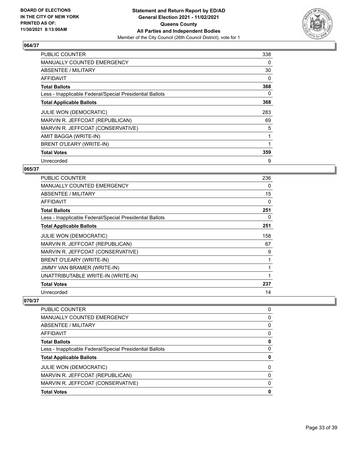

| <b>PUBLIC COUNTER</b>                                    | 338 |
|----------------------------------------------------------|-----|
| <b>MANUALLY COUNTED EMERGENCY</b>                        | 0   |
| ABSENTEE / MILITARY                                      | 30  |
| AFFIDAVIT                                                | 0   |
| <b>Total Ballots</b>                                     | 368 |
| Less - Inapplicable Federal/Special Presidential Ballots | 0   |
| <b>Total Applicable Ballots</b>                          | 368 |
| JULIE WON (DEMOCRATIC)                                   | 283 |
| MARVIN R. JEFFCOAT (REPUBLICAN)                          | 69  |
| MARVIN R. JEFFCOAT (CONSERVATIVE)                        | 5   |
| AMIT BAGGA (WRITE-IN)                                    | 1   |
| BRENT O'LEARY (WRITE-IN)                                 |     |
| <b>Total Votes</b>                                       | 359 |
| Unrecorded                                               | 9   |

## **065/37**

| <b>PUBLIC COUNTER</b>                                    | 236 |
|----------------------------------------------------------|-----|
| <b>MANUALLY COUNTED EMERGENCY</b>                        | 0   |
| ABSENTEE / MILITARY                                      | 15  |
| AFFIDAVIT                                                | 0   |
| <b>Total Ballots</b>                                     | 251 |
| Less - Inapplicable Federal/Special Presidential Ballots | 0   |
| <b>Total Applicable Ballots</b>                          | 251 |
| JULIE WON (DEMOCRATIC)                                   | 158 |
| MARVIN R. JEFFCOAT (REPUBLICAN)                          | 67  |
| MARVIN R. JEFFCOAT (CONSERVATIVE)                        | 9   |
| <b>BRENT O'LEARY (WRITE-IN)</b>                          |     |
| JIMMY VAN BRAMER (WRITE-IN)                              |     |
| UNATTRIBUTABLE WRITE-IN (WRITE-IN)                       | 1   |
| <b>Total Votes</b>                                       | 237 |
| Unrecorded                                               | 14  |

| 0 |
|---|
| 0 |
| 0 |
| 0 |
| 0 |
| 0 |
| 0 |
| 0 |
| 0 |
| 0 |
| 0 |
|   |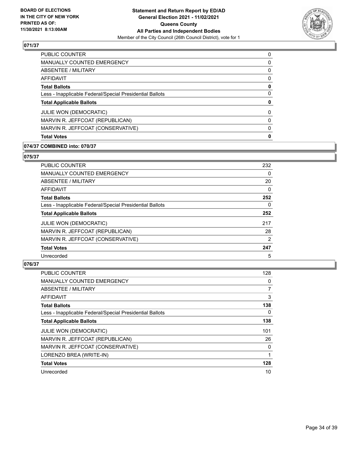

| <b>PUBLIC COUNTER</b>                                    | 0        |
|----------------------------------------------------------|----------|
| <b>MANUALLY COUNTED EMERGENCY</b>                        | 0        |
| ABSENTEE / MILITARY                                      | $\Omega$ |
| AFFIDAVIT                                                | $\Omega$ |
| <b>Total Ballots</b>                                     | 0        |
| Less - Inapplicable Federal/Special Presidential Ballots | 0        |
| <b>Total Applicable Ballots</b>                          | 0        |
| <b>JULIE WON (DEMOCRATIC)</b>                            | $\Omega$ |
| MARVIN R. JEFFCOAT (REPUBLICAN)                          | $\Omega$ |
| MARVIN R. JEFFCOAT (CONSERVATIVE)                        | 0        |
| <b>Total Votes</b>                                       | 0        |

## **074/37 COMBINED into: 070/37**

## **075/37**

| <b>PUBLIC COUNTER</b>                                    | 232      |
|----------------------------------------------------------|----------|
| <b>MANUALLY COUNTED EMERGENCY</b>                        | $\Omega$ |
| ABSENTEE / MILITARY                                      | 20       |
| AFFIDAVIT                                                | 0        |
| <b>Total Ballots</b>                                     | 252      |
| Less - Inapplicable Federal/Special Presidential Ballots | 0        |
| <b>Total Applicable Ballots</b>                          | 252      |
| <b>JULIE WON (DEMOCRATIC)</b>                            | 217      |
| MARVIN R. JEFFCOAT (REPUBLICAN)                          | 28       |
| MARVIN R. JEFFCOAT (CONSERVATIVE)                        | 2        |
| <b>Total Votes</b>                                       | 247      |
| Unrecorded                                               | 5        |

| <b>PUBLIC COUNTER</b>                                    | 128      |
|----------------------------------------------------------|----------|
| <b>MANUALLY COUNTED EMERGENCY</b>                        | 0        |
| ABSENTEE / MILITARY                                      | 7        |
| AFFIDAVIT                                                | 3        |
| <b>Total Ballots</b>                                     | 138      |
| Less - Inapplicable Federal/Special Presidential Ballots | 0        |
| <b>Total Applicable Ballots</b>                          | 138      |
| <b>JULIE WON (DEMOCRATIC)</b>                            | 101      |
| MARVIN R. JEFFCOAT (REPUBLICAN)                          | 26       |
| MARVIN R. JEFFCOAT (CONSERVATIVE)                        | $\Omega$ |
| LORENZO BREA (WRITE-IN)                                  |          |
| <b>Total Votes</b>                                       | 128      |
| Unrecorded                                               | 10       |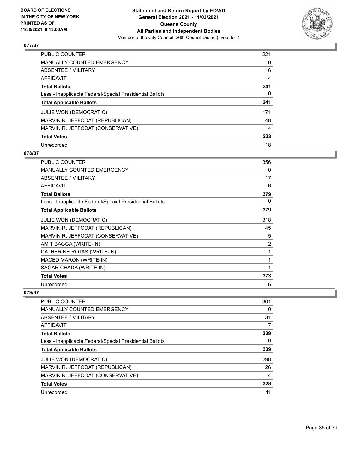

| PUBLIC COUNTER                                           | 221 |
|----------------------------------------------------------|-----|
| <b>MANUALLY COUNTED EMERGENCY</b>                        | 0   |
| ABSENTEE / MILITARY                                      | 16  |
| AFFIDAVIT                                                | 4   |
| <b>Total Ballots</b>                                     | 241 |
| Less - Inapplicable Federal/Special Presidential Ballots | 0   |
| <b>Total Applicable Ballots</b>                          | 241 |
| <b>JULIE WON (DEMOCRATIC)</b>                            | 171 |
| MARVIN R. JEFFCOAT (REPUBLICAN)                          | 48  |
| MARVIN R. JEFFCOAT (CONSERVATIVE)                        | 4   |
| <b>Total Votes</b>                                       | 223 |
| Unrecorded                                               | 18  |

#### **078/37**

| <b>PUBLIC COUNTER</b>                                    | 356 |
|----------------------------------------------------------|-----|
| <b>MANUALLY COUNTED EMERGENCY</b>                        | 0   |
| ABSENTEE / MILITARY                                      | 17  |
| <b>AFFIDAVIT</b>                                         | 6   |
| <b>Total Ballots</b>                                     | 379 |
| Less - Inapplicable Federal/Special Presidential Ballots | 0   |
| <b>Total Applicable Ballots</b>                          | 379 |
| <b>JULIE WON (DEMOCRATIC)</b>                            | 318 |
| MARVIN R. JEFFCOAT (REPUBLICAN)                          | 45  |
| MARVIN R. JEFFCOAT (CONSERVATIVE)                        | 5   |
| AMIT BAGGA (WRITE-IN)                                    | 2   |
| CATHERINE ROJAS (WRITE-IN)                               | 1   |
| <b>MACED MARON (WRITE-IN)</b>                            | 1   |
| SAGAR CHADA (WRITE-IN)                                   | 1   |
| <b>Total Votes</b>                                       | 373 |
| Unrecorded                                               | 6   |

| <b>PUBLIC COUNTER</b>                                    | 301 |
|----------------------------------------------------------|-----|
| MANUALLY COUNTED EMERGENCY                               | 0   |
| ABSENTEE / MILITARY                                      | 31  |
| AFFIDAVIT                                                | 7   |
| <b>Total Ballots</b>                                     | 339 |
| Less - Inapplicable Federal/Special Presidential Ballots | 0   |
| <b>Total Applicable Ballots</b>                          | 339 |
| <b>JULIE WON (DEMOCRATIC)</b>                            | 298 |
| MARVIN R. JEFFCOAT (REPUBLICAN)                          | 26  |
| MARVIN R. JEFFCOAT (CONSERVATIVE)                        | 4   |
| <b>Total Votes</b>                                       | 328 |
| Unrecorded                                               | 11  |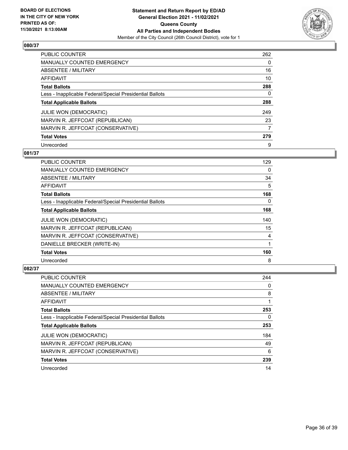

| <b>PUBLIC COUNTER</b>                                    | 262      |
|----------------------------------------------------------|----------|
| <b>MANUALLY COUNTED EMERGENCY</b>                        | $\Omega$ |
| ABSENTEE / MILITARY                                      | 16       |
| AFFIDAVIT                                                | 10       |
| <b>Total Ballots</b>                                     | 288      |
| Less - Inapplicable Federal/Special Presidential Ballots | 0        |
| <b>Total Applicable Ballots</b>                          | 288      |
| JULIE WON (DEMOCRATIC)                                   | 249      |
| MARVIN R. JEFFCOAT (REPUBLICAN)                          | 23       |
| MARVIN R. JEFFCOAT (CONSERVATIVE)                        | 7        |
| <b>Total Votes</b>                                       | 279      |
| Unrecorded                                               | 9        |

# **081/37**

| PUBLIC COUNTER                                           | 129      |
|----------------------------------------------------------|----------|
| <b>MANUALLY COUNTED EMERGENCY</b>                        | 0        |
| ABSENTEE / MILITARY                                      | 34       |
| AFFIDAVIT                                                | 5        |
| <b>Total Ballots</b>                                     | 168      |
| Less - Inapplicable Federal/Special Presidential Ballots | $\Omega$ |
| <b>Total Applicable Ballots</b>                          | 168      |
| <b>JULIE WON (DEMOCRATIC)</b>                            | 140      |
| MARVIN R. JEFFCOAT (REPUBLICAN)                          | 15       |
| MARVIN R. JEFFCOAT (CONSERVATIVE)                        | 4        |
| DANIELLE BRECKER (WRITE-IN)                              |          |
| <b>Total Votes</b>                                       | 160      |
| Unrecorded                                               | 8        |

| <b>PUBLIC COUNTER</b>                                    | 244 |
|----------------------------------------------------------|-----|
| <b>MANUALLY COUNTED EMERGENCY</b>                        | 0   |
| ABSENTEE / MILITARY                                      | 8   |
| AFFIDAVIT                                                |     |
| <b>Total Ballots</b>                                     | 253 |
| Less - Inapplicable Federal/Special Presidential Ballots | 0   |
| <b>Total Applicable Ballots</b>                          | 253 |
| <b>JULIE WON (DEMOCRATIC)</b>                            | 184 |
| MARVIN R. JEFFCOAT (REPUBLICAN)                          | 49  |
| MARVIN R. JEFFCOAT (CONSERVATIVE)                        | 6   |
| <b>Total Votes</b>                                       | 239 |
| Unrecorded                                               | 14  |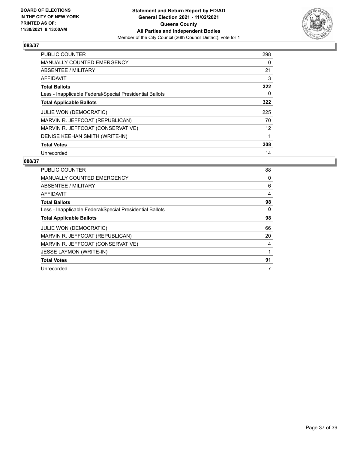

| <b>PUBLIC COUNTER</b>                                    | 298 |
|----------------------------------------------------------|-----|
| <b>MANUALLY COUNTED EMERGENCY</b>                        | 0   |
| ABSENTEE / MILITARY                                      | 21  |
| <b>AFFIDAVIT</b>                                         | 3   |
| <b>Total Ballots</b>                                     | 322 |
| Less - Inapplicable Federal/Special Presidential Ballots | 0   |
| <b>Total Applicable Ballots</b>                          | 322 |
| <b>JULIE WON (DEMOCRATIC)</b>                            | 225 |
| MARVIN R. JEFFCOAT (REPUBLICAN)                          | 70  |
| MARVIN R. JEFFCOAT (CONSERVATIVE)                        | 12  |
| DENISE KEEHAN SMITH (WRITE-IN)                           |     |
| <b>Total Votes</b>                                       | 308 |
| Unrecorded                                               | 14  |

| <b>PUBLIC COUNTER</b>                                    | 88       |
|----------------------------------------------------------|----------|
| <b>MANUALLY COUNTED EMERGENCY</b>                        | 0        |
| ABSENTEE / MILITARY                                      | 6        |
| AFFIDAVIT                                                | 4        |
| <b>Total Ballots</b>                                     | 98       |
| Less - Inapplicable Federal/Special Presidential Ballots | $\Omega$ |
| <b>Total Applicable Ballots</b>                          | 98       |
| <b>JULIE WON (DEMOCRATIC)</b>                            | 66       |
| MARVIN R. JEFFCOAT (REPUBLICAN)                          | 20       |
| MARVIN R. JEFFCOAT (CONSERVATIVE)                        | 4        |
| JESSE LAYMON (WRITE-IN)                                  |          |
| <b>Total Votes</b>                                       | 91       |
| Unrecorded                                               | 7        |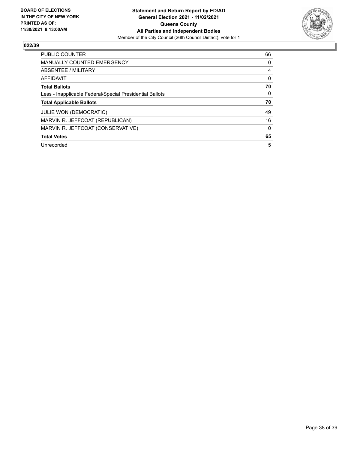

| <b>PUBLIC COUNTER</b>                                    | 66       |
|----------------------------------------------------------|----------|
| <b>MANUALLY COUNTED EMERGENCY</b>                        | 0        |
| ABSENTEE / MILITARY                                      | 4        |
| <b>AFFIDAVIT</b>                                         | 0        |
| <b>Total Ballots</b>                                     | 70       |
| Less - Inapplicable Federal/Special Presidential Ballots | $\Omega$ |
| <b>Total Applicable Ballots</b>                          | 70       |
| <b>JULIE WON (DEMOCRATIC)</b>                            | 49       |
| MARVIN R. JEFFCOAT (REPUBLICAN)                          | 16       |
| MARVIN R. JEFFCOAT (CONSERVATIVE)                        | $\Omega$ |
| <b>Total Votes</b>                                       | 65       |
| Unrecorded                                               | 5        |